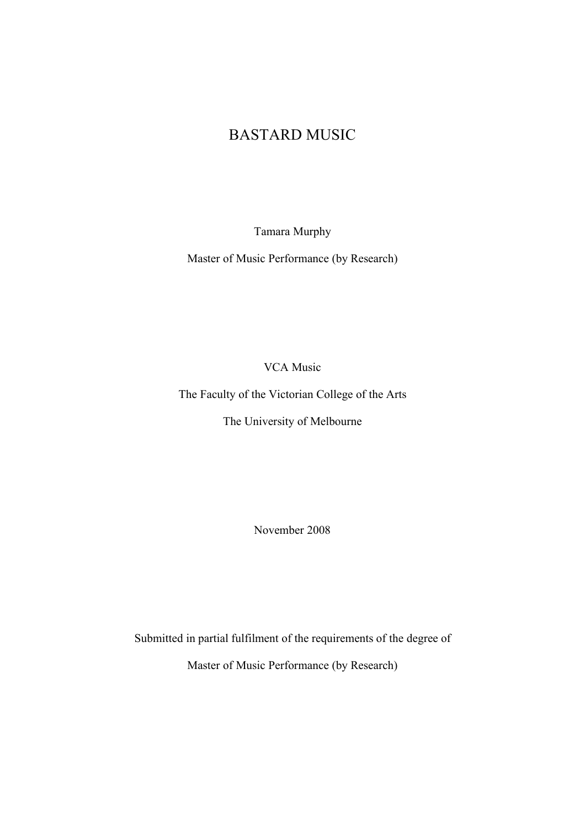# BASTARD MUSIC

Tamara Murphy

Master of Music Performance (by Research)

VCA Music

The Faculty of the Victorian College of the Arts

The University of Melbourne

November 2008

Submitted in partial fulfilment of the requirements of the degree of Master of Music Performance (by Research)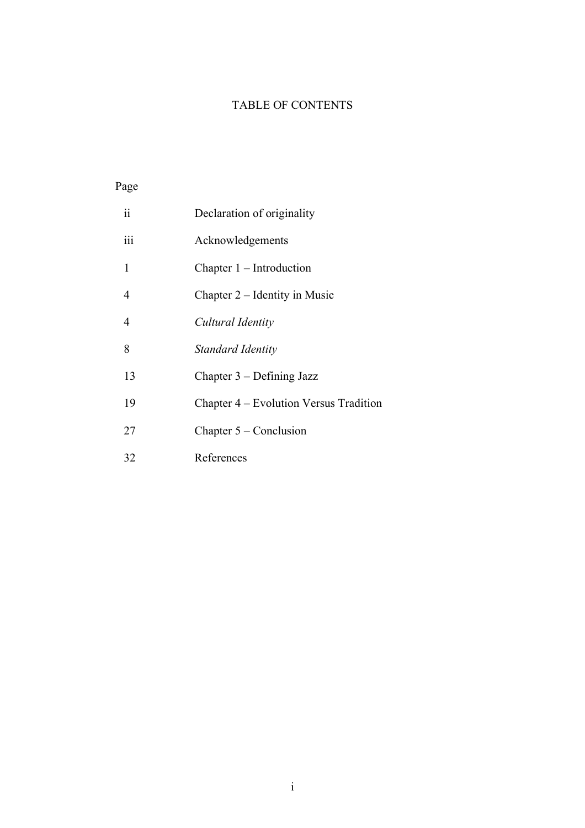### TABLE OF CONTENTS

## Page

| $\ddot{\rm ii}$ | Declaration of originality             |
|-----------------|----------------------------------------|
| iii             | Acknowledgements                       |
| 1               | Chapter 1 – Introduction               |
| 4               | Chapter 2 – Identity in Music          |
| 4               | Cultural Identity                      |
| 8               | Standard Identity                      |
| 13              | Chapter $3$ – Defining Jazz            |
| 19              | Chapter 4 – Evolution Versus Tradition |
| 27              | Chapter $5 -$ Conclusion               |
| 32              | References                             |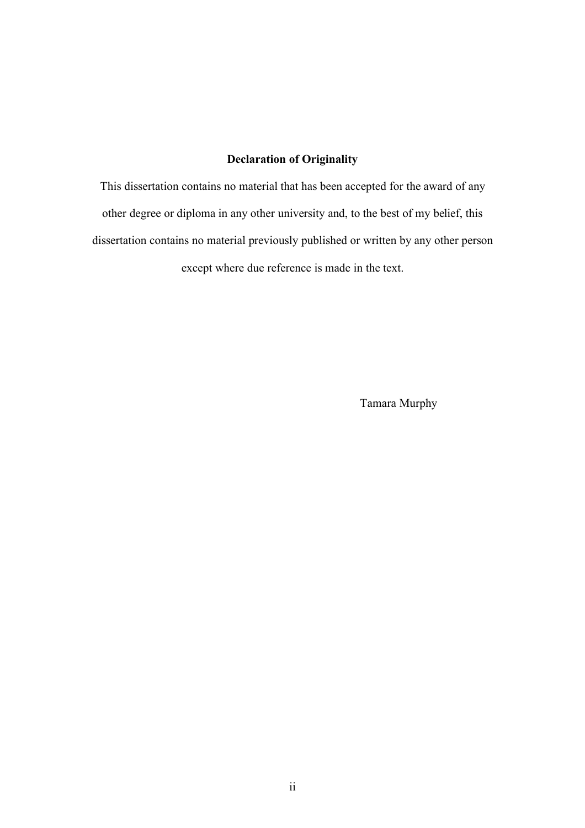### **Declaration of Originality**

This dissertation contains no material that has been accepted for the award of any other degree or diploma in any other university and, to the best of my belief, this dissertation contains no material previously published or written by any other person except where due reference is made in the text.

Tamara Murphy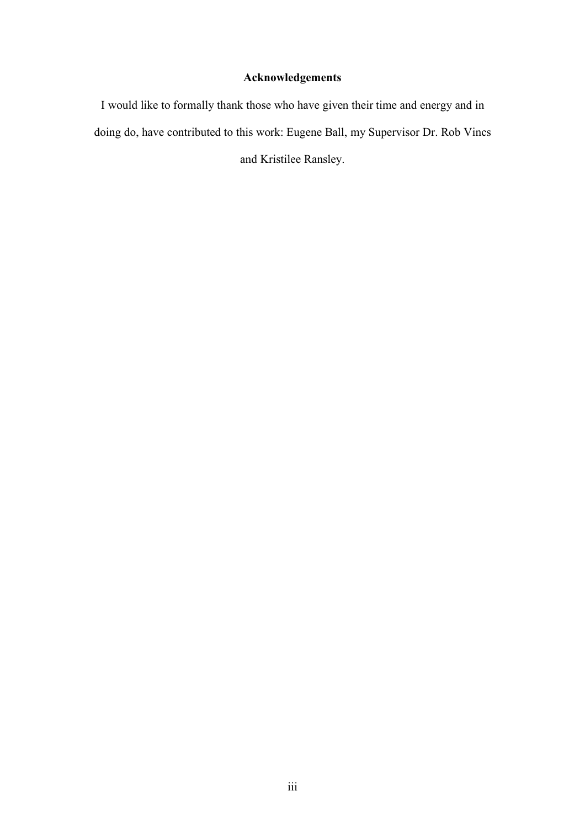### **Acknowledgements**

I would like to formally thank those who have given their time and energy and in doing do, have contributed to this work: Eugene Ball, my Supervisor Dr. Rob Vincs and Kristilee Ransley.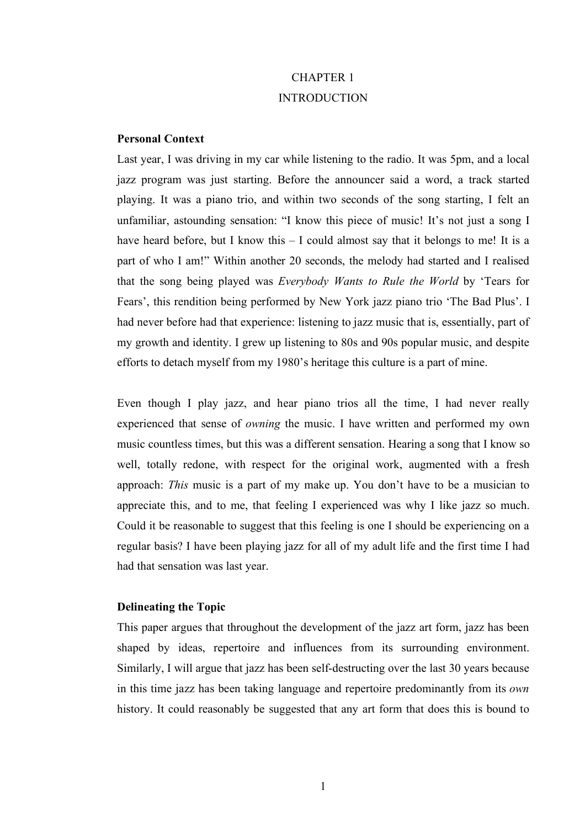# CHAPTER 1 **INTRODUCTION**

### **Personal Context**

Last year, I was driving in my car while listening to the radio. It was 5pm, and a local jazz program was just starting. Before the announcer said a word, a track started playing. It was a piano trio, and within two seconds of the song starting, I felt an unfamiliar, astounding sensation: "I know this piece of music! It's not just a song I have heard before, but I know this – I could almost say that it belongs to me! It is a part of who I am!" Within another 20 seconds, the melody had started and I realised that the song being played was *Everybody Wants to Rule the World* by 'Tears for Fears', this rendition being performed by New York jazz piano trio 'The Bad Plus'. I had never before had that experience: listening to jazz music that is, essentially, part of my growth and identity. I grew up listening to 80s and 90s popular music, and despite efforts to detach myself from my 1980's heritage this culture is a part of mine.

Even though I play jazz, and hear piano trios all the time, I had never really experienced that sense of *owning* the music. I have written and performed my own music countless times, but this was a different sensation. Hearing a song that I know so well, totally redone, with respect for the original work, augmented with a fresh approach: *This* music is a part of my make up. You don't have to be a musician to appreciate this, and to me, that feeling I experienced was why I like jazz so much. Could it be reasonable to suggest that this feeling is one I should be experiencing on a regular basis? I have been playing jazz for all of my adult life and the first time I had had that sensation was last year.

#### **Delineating the Topic**

This paper argues that throughout the development of the jazz art form, jazz has been shaped by ideas, repertoire and influences from its surrounding environment. Similarly, I will argue that jazz has been self-destructing over the last 30 years because in this time jazz has been taking language and repertoire predominantly from its *own* history. It could reasonably be suggested that any art form that does this is bound to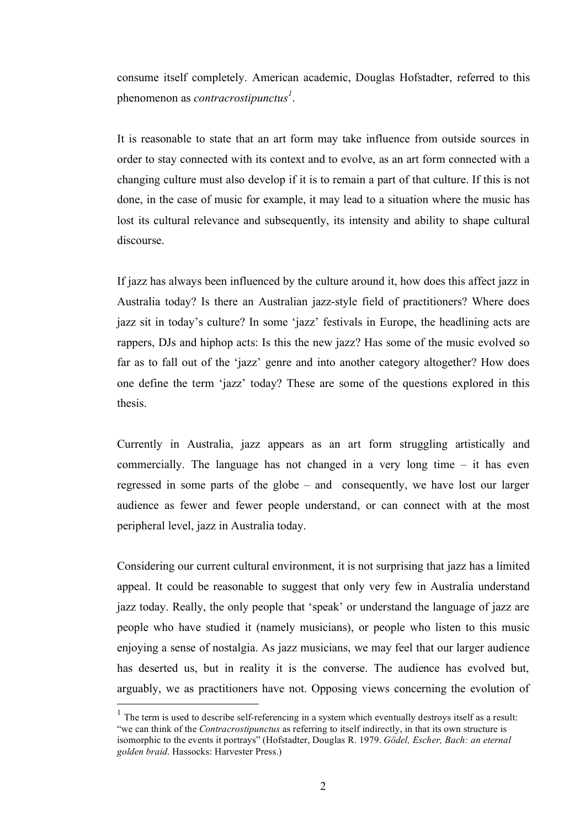consume itself completely. American academic, Douglas Hofstadter, referred to this phenomenon as *contracrostipunctus*<sup>1</sup>.

It is reasonable to state that an art form may take influence from outside sources in order to stay connected with its context and to evolve, as an art form connected with a changing culture must also develop if it is to remain a part of that culture. If this is not done, in the case of music for example, it may lead to a situation where the music has lost its cultural relevance and subsequently, its intensity and ability to shape cultural discourse.

If jazz has always been influenced by the culture around it, how does this affect jazz in Australia today? Is there an Australian jazz-style field of practitioners? Where does jazz sit in today's culture? In some 'jazz' festivals in Europe, the headlining acts are rappers, DJs and hiphop acts: Is this the new jazz? Has some of the music evolved so far as to fall out of the 'jazz' genre and into another category altogether? How does one define the term 'jazz' today? These are some of the questions explored in this thesis.

Currently in Australia, jazz appears as an art form struggling artistically and commercially. The language has not changed in a very long time – it has even regressed in some parts of the globe – and consequently, we have lost our larger audience as fewer and fewer people understand, or can connect with at the most peripheral level, jazz in Australia today.

Considering our current cultural environment, it is not surprising that jazz has a limited appeal. It could be reasonable to suggest that only very few in Australia understand jazz today. Really, the only people that 'speak' or understand the language of jazz are people who have studied it (namely musicians), or people who listen to this music enjoying a sense of nostalgia. As jazz musicians, we may feel that our larger audience has deserted us, but in reality it is the converse. The audience has evolved but, arguably, we as practitioners have not. Opposing views concerning the evolution of

 $1$  The term is used to describe self-referencing in a system which eventually destroys itself as a result: "we can think of the *Contracrostipunctus* as referring to itself indirectly, in that its own structure is isomorphic to the events it portrays" (Hofstadter, Douglas R. 1979. *Gödel, Escher, Bach: an eternal golden braid*. Hassocks: Harvester Press.)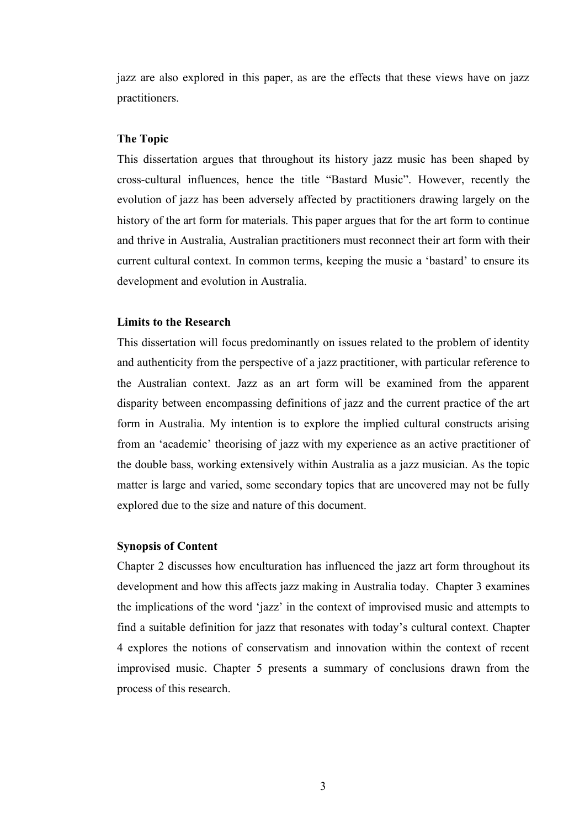jazz are also explored in this paper, as are the effects that these views have on jazz practitioners.

#### **The Topic**

This dissertation argues that throughout its history jazz music has been shaped by cross-cultural influences, hence the title "Bastard Music". However, recently the evolution of jazz has been adversely affected by practitioners drawing largely on the history of the art form for materials. This paper argues that for the art form to continue and thrive in Australia, Australian practitioners must reconnect their art form with their current cultural context. In common terms, keeping the music a 'bastard' to ensure its development and evolution in Australia.

#### **Limits to the Research**

This dissertation will focus predominantly on issues related to the problem of identity and authenticity from the perspective of a jazz practitioner, with particular reference to the Australian context. Jazz as an art form will be examined from the apparent disparity between encompassing definitions of jazz and the current practice of the art form in Australia. My intention is to explore the implied cultural constructs arising from an 'academic' theorising of jazz with my experience as an active practitioner of the double bass, working extensively within Australia as a jazz musician. As the topic matter is large and varied, some secondary topics that are uncovered may not be fully explored due to the size and nature of this document.

#### **Synopsis of Content**

Chapter 2 discusses how enculturation has influenced the jazz art form throughout its development and how this affects jazz making in Australia today. Chapter 3 examines the implications of the word 'jazz' in the context of improvised music and attempts to find a suitable definition for jazz that resonates with today's cultural context. Chapter 4 explores the notions of conservatism and innovation within the context of recent improvised music. Chapter 5 presents a summary of conclusions drawn from the process of this research.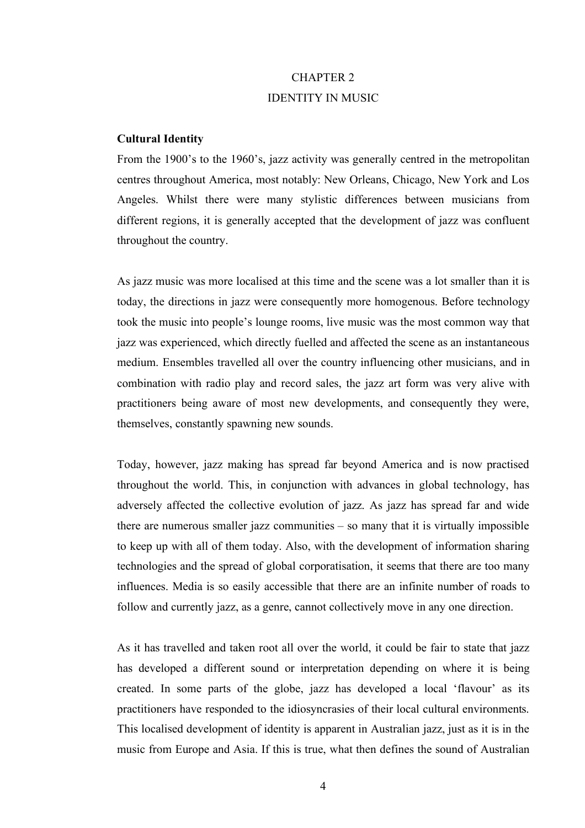## CHAPTER 2 IDENTITY IN MUSIC

#### **Cultural Identity**

From the 1900's to the 1960's, jazz activity was generally centred in the metropolitan centres throughout America, most notably: New Orleans, Chicago, New York and Los Angeles. Whilst there were many stylistic differences between musicians from different regions, it is generally accepted that the development of jazz was confluent throughout the country.

As jazz music was more localised at this time and the scene was a lot smaller than it is today, the directions in jazz were consequently more homogenous. Before technology took the music into people's lounge rooms, live music was the most common way that jazz was experienced, which directly fuelled and affected the scene as an instantaneous medium. Ensembles travelled all over the country influencing other musicians, and in combination with radio play and record sales, the jazz art form was very alive with practitioners being aware of most new developments, and consequently they were, themselves, constantly spawning new sounds.

Today, however, jazz making has spread far beyond America and is now practised throughout the world. This, in conjunction with advances in global technology, has adversely affected the collective evolution of jazz. As jazz has spread far and wide there are numerous smaller jazz communities – so many that it is virtually impossible to keep up with all of them today. Also, with the development of information sharing technologies and the spread of global corporatisation, it seems that there are too many influences. Media is so easily accessible that there are an infinite number of roads to follow and currently jazz, as a genre, cannot collectively move in any one direction.

As it has travelled and taken root all over the world, it could be fair to state that jazz has developed a different sound or interpretation depending on where it is being created. In some parts of the globe, jazz has developed a local 'flavour' as its practitioners have responded to the idiosyncrasies of their local cultural environments. This localised development of identity is apparent in Australian jazz, just as it is in the music from Europe and Asia. If this is true, what then defines the sound of Australian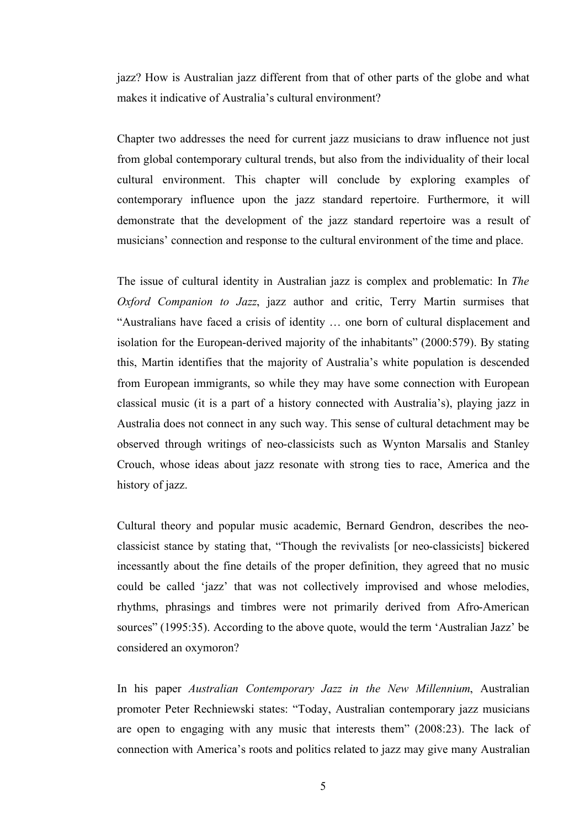jazz? How is Australian jazz different from that of other parts of the globe and what makes it indicative of Australia's cultural environment?

Chapter two addresses the need for current jazz musicians to draw influence not just from global contemporary cultural trends, but also from the individuality of their local cultural environment. This chapter will conclude by exploring examples of contemporary influence upon the jazz standard repertoire. Furthermore, it will demonstrate that the development of the jazz standard repertoire was a result of musicians' connection and response to the cultural environment of the time and place.

The issue of cultural identity in Australian jazz is complex and problematic: In *The Oxford Companion to Jazz*, jazz author and critic, Terry Martin surmises that "Australians have faced a crisis of identity … one born of cultural displacement and isolation for the European-derived majority of the inhabitants" (2000:579). By stating this, Martin identifies that the majority of Australia's white population is descended from European immigrants, so while they may have some connection with European classical music (it is a part of a history connected with Australia's), playing jazz in Australia does not connect in any such way. This sense of cultural detachment may be observed through writings of neo-classicists such as Wynton Marsalis and Stanley Crouch, whose ideas about jazz resonate with strong ties to race, America and the history of jazz.

Cultural theory and popular music academic, Bernard Gendron, describes the neoclassicist stance by stating that, "Though the revivalists [or neo-classicists] bickered incessantly about the fine details of the proper definition, they agreed that no music could be called 'jazz' that was not collectively improvised and whose melodies, rhythms, phrasings and timbres were not primarily derived from Afro-American sources" (1995:35). According to the above quote, would the term 'Australian Jazz' be considered an oxymoron?

In his paper *Australian Contemporary Jazz in the New Millennium*, Australian promoter Peter Rechniewski states: "Today, Australian contemporary jazz musicians are open to engaging with any music that interests them" (2008:23). The lack of connection with America's roots and politics related to jazz may give many Australian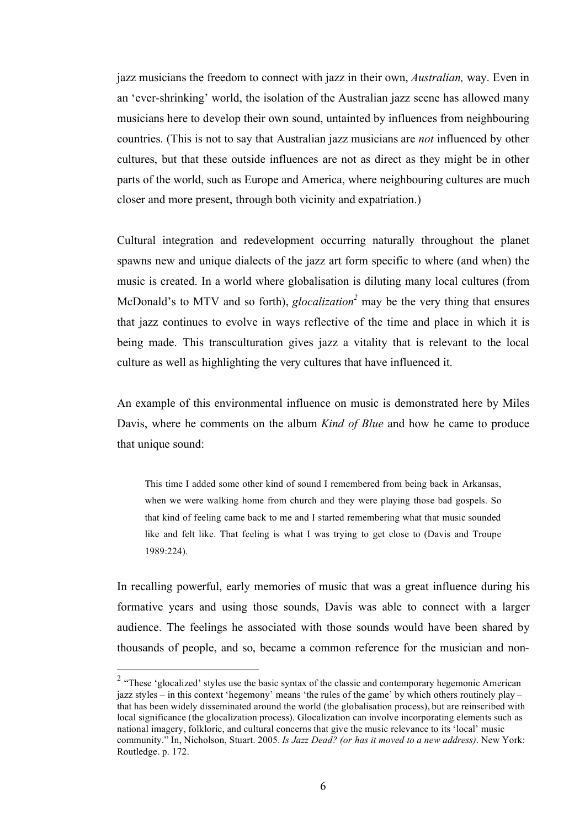jazz musicians the freedom to connect with jazz in their own, *Australian,* way. Even in an 'ever-shrinking' world, the isolation of the Australian jazz scene has allowed many musicians here to develop their own sound, untainted by influences from neighbouring countries. (This is not to say that Australian jazz musicians are *not* influenced by other cultures, but that these outside influences are not as direct as they might be in other parts of the world, such as Europe and America, where neighbouring cultures are much closer and more present, through both vicinity and expatriation.)

Cultural integration and redevelopment occurring naturally throughout the planet spawns new and unique dialects of the jazz art form specific to where (and when) the music is created. In a world where globalisation is diluting many local cultures (from McDonald's to MTV and so forth), *glocalization*<sup>2</sup> may be the very thing that ensures that jazz continues to evolve in ways reflective of the time and place in which it is being made. This transculturation gives jazz a vitality that is relevant to the local culture as well as highlighting the very cultures that have influenced it.

An example of this environmental influence on music is demonstrated here by Miles Davis, where he comments on the album *Kind of Blue* and how he came to produce that unique sound:

This time I added some other kind of sound I remembered from being back in Arkansas, when we were walking home from church and they were playing those bad gospels. So that kind of feeling came back to me and I started remembering what that music sounded like and felt like. That feeling is what I was trying to get close to (Davis and Troupe 1989:224).

In recalling powerful, early memories of music that was a great influence during his formative years and using those sounds, Davis was able to connect with a larger audience. The feelings he associated with those sounds would have been shared by thousands of people, and so, became a common reference for the musician and non-

 $2$  "These 'glocalized' styles use the basic syntax of the classic and contemporary hegemonic American jazz styles – in this context 'hegemony' means 'the rules of the game' by which others routinely play – that has been widely disseminated around the world (the globalisation process), but are reinscribed with local significance (the glocalization process). Glocalization can involve incorporating elements such as national imagery, folkloric, and cultural concerns that give the music relevance to its 'local' music community." In, Nicholson, Stuart. 2005. *Is Jazz Dead? (or has it moved to a new address)*. New York: Routledge. p. 172.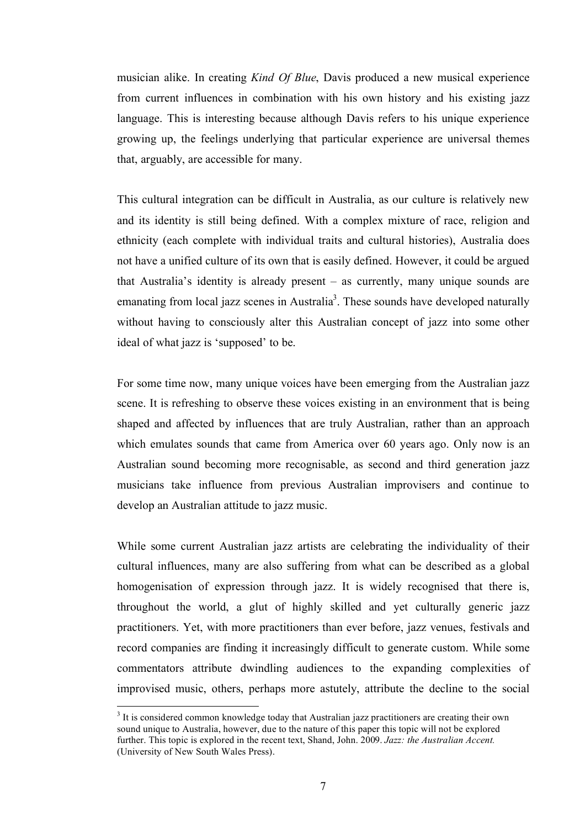musician alike. In creating *Kind Of Blue*, Davis produced a new musical experience from current influences in combination with his own history and his existing jazz language. This is interesting because although Davis refers to his unique experience growing up, the feelings underlying that particular experience are universal themes that, arguably, are accessible for many.

This cultural integration can be difficult in Australia, as our culture is relatively new and its identity is still being defined. With a complex mixture of race, religion and ethnicity (each complete with individual traits and cultural histories), Australia does not have a unified culture of its own that is easily defined. However, it could be argued that Australia's identity is already present – as currently, many unique sounds are emanating from local jazz scenes in Australia<sup>3</sup>. These sounds have developed naturally without having to consciously alter this Australian concept of jazz into some other ideal of what jazz is 'supposed' to be.

For some time now, many unique voices have been emerging from the Australian jazz scene. It is refreshing to observe these voices existing in an environment that is being shaped and affected by influences that are truly Australian, rather than an approach which emulates sounds that came from America over 60 years ago. Only now is an Australian sound becoming more recognisable, as second and third generation jazz musicians take influence from previous Australian improvisers and continue to develop an Australian attitude to jazz music.

While some current Australian jazz artists are celebrating the individuality of their cultural influences, many are also suffering from what can be described as a global homogenisation of expression through jazz. It is widely recognised that there is, throughout the world, a glut of highly skilled and yet culturally generic jazz practitioners. Yet, with more practitioners than ever before, jazz venues, festivals and record companies are finding it increasingly difficult to generate custom. While some commentators attribute dwindling audiences to the expanding complexities of improvised music, others, perhaps more astutely, attribute the decline to the social

<sup>&</sup>lt;sup>2</sup><br>3  $3$  It is considered common knowledge today that Australian jazz practitioners are creating their own sound unique to Australia, however, due to the nature of this paper this topic will not be explored further. This topic is explored in the recent text, Shand, John. 2009. *Jazz: the Australian Accent.*  (University of New South Wales Press).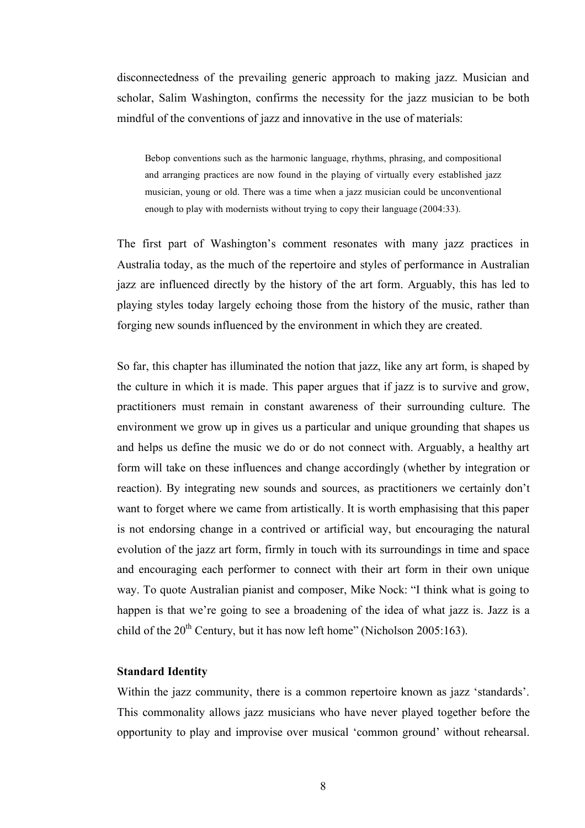disconnectedness of the prevailing generic approach to making jazz. Musician and scholar, Salim Washington, confirms the necessity for the jazz musician to be both mindful of the conventions of jazz and innovative in the use of materials:

Bebop conventions such as the harmonic language, rhythms, phrasing, and compositional and arranging practices are now found in the playing of virtually every established jazz musician, young or old. There was a time when a jazz musician could be unconventional enough to play with modernists without trying to copy their language (2004:33).

The first part of Washington's comment resonates with many jazz practices in Australia today, as the much of the repertoire and styles of performance in Australian jazz are influenced directly by the history of the art form. Arguably, this has led to playing styles today largely echoing those from the history of the music, rather than forging new sounds influenced by the environment in which they are created.

So far, this chapter has illuminated the notion that jazz, like any art form, is shaped by the culture in which it is made. This paper argues that if jazz is to survive and grow, practitioners must remain in constant awareness of their surrounding culture. The environment we grow up in gives us a particular and unique grounding that shapes us and helps us define the music we do or do not connect with. Arguably, a healthy art form will take on these influences and change accordingly (whether by integration or reaction). By integrating new sounds and sources, as practitioners we certainly don't want to forget where we came from artistically. It is worth emphasising that this paper is not endorsing change in a contrived or artificial way, but encouraging the natural evolution of the jazz art form, firmly in touch with its surroundings in time and space and encouraging each performer to connect with their art form in their own unique way. To quote Australian pianist and composer, Mike Nock: "I think what is going to happen is that we're going to see a broadening of the idea of what jazz is. Jazz is a child of the  $20^{th}$  Century, but it has now left home" (Nicholson  $2005:163$ ).

### **Standard Identity**

Within the jazz community, there is a common repertoire known as jazz 'standards'. This commonality allows jazz musicians who have never played together before the opportunity to play and improvise over musical 'common ground' without rehearsal.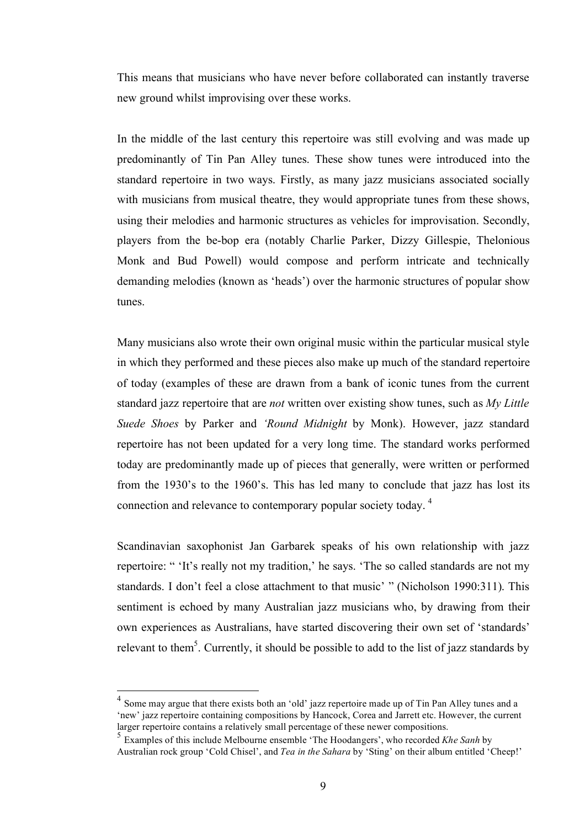This means that musicians who have never before collaborated can instantly traverse new ground whilst improvising over these works.

In the middle of the last century this repertoire was still evolving and was made up predominantly of Tin Pan Alley tunes. These show tunes were introduced into the standard repertoire in two ways. Firstly, as many jazz musicians associated socially with musicians from musical theatre, they would appropriate tunes from these shows, using their melodies and harmonic structures as vehicles for improvisation. Secondly, players from the be-bop era (notably Charlie Parker, Dizzy Gillespie, Thelonious Monk and Bud Powell) would compose and perform intricate and technically demanding melodies (known as 'heads') over the harmonic structures of popular show tunes.

Many musicians also wrote their own original music within the particular musical style in which they performed and these pieces also make up much of the standard repertoire of today (examples of these are drawn from a bank of iconic tunes from the current standard jazz repertoire that are *not* written over existing show tunes, such as *My Little Suede Shoes* by Parker and *'Round Midnight* by Monk). However, jazz standard repertoire has not been updated for a very long time. The standard works performed today are predominantly made up of pieces that generally, were written or performed from the 1930's to the 1960's. This has led many to conclude that jazz has lost its connection and relevance to contemporary popular society today. 4

Scandinavian saxophonist Jan Garbarek speaks of his own relationship with jazz repertoire: " 'It's really not my tradition,' he says. 'The so called standards are not my standards. I don't feel a close attachment to that music' " (Nicholson 1990:311). This sentiment is echoed by many Australian jazz musicians who, by drawing from their own experiences as Australians, have started discovering their own set of 'standards' relevant to them<sup>5</sup>. Currently, it should be possible to add to the list of jazz standards by

Some may argue that there exists both an 'old' jazz repertoire made up of Tin Pan Alley tunes and a 'new' jazz repertoire containing compositions by Hancock, Corea and Jarrett etc. However, the current larger repertoire contains a relatively small percentage of these newer compositions.

<sup>5</sup> Examples of this include Melbourne ensemble 'The Hoodangers', who recorded *Khe Sanh* by Australian rock group 'Cold Chisel', and *Tea in the Sahara* by 'Sting' on their album entitled 'Cheep!'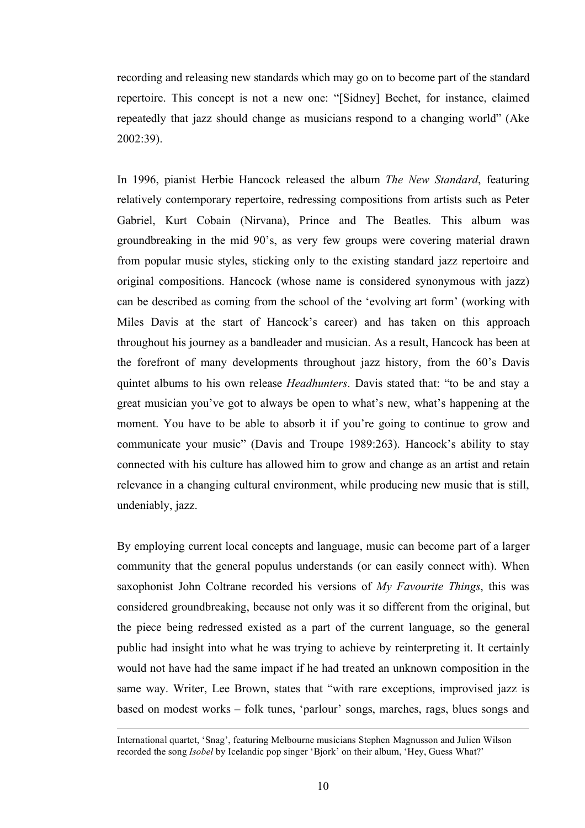recording and releasing new standards which may go on to become part of the standard repertoire. This concept is not a new one: "[Sidney] Bechet, for instance, claimed repeatedly that jazz should change as musicians respond to a changing world" (Ake 2002:39).

In 1996, pianist Herbie Hancock released the album *The New Standard*, featuring relatively contemporary repertoire, redressing compositions from artists such as Peter Gabriel, Kurt Cobain (Nirvana), Prince and The Beatles. This album was groundbreaking in the mid 90's, as very few groups were covering material drawn from popular music styles, sticking only to the existing standard jazz repertoire and original compositions. Hancock (whose name is considered synonymous with jazz) can be described as coming from the school of the 'evolving art form' (working with Miles Davis at the start of Hancock's career) and has taken on this approach throughout his journey as a bandleader and musician. As a result, Hancock has been at the forefront of many developments throughout jazz history, from the 60's Davis quintet albums to his own release *Headhunters*. Davis stated that: "to be and stay a great musician you've got to always be open to what's new, what's happening at the moment. You have to be able to absorb it if you're going to continue to grow and communicate your music" (Davis and Troupe 1989:263). Hancock's ability to stay connected with his culture has allowed him to grow and change as an artist and retain relevance in a changing cultural environment, while producing new music that is still, undeniably, jazz.

By employing current local concepts and language, music can become part of a larger community that the general populus understands (or can easily connect with). When saxophonist John Coltrane recorded his versions of *My Favourite Things*, this was considered groundbreaking, because not only was it so different from the original, but the piece being redressed existed as a part of the current language, so the general public had insight into what he was trying to achieve by reinterpreting it. It certainly would not have had the same impact if he had treated an unknown composition in the same way. Writer, Lee Brown, states that "with rare exceptions, improvised jazz is based on modest works – folk tunes, 'parlour' songs, marches, rags, blues songs and

International quartet, 'Snag', featuring Melbourne musicians Stephen Magnusson and Julien Wilson recorded the song *Isobel* by Icelandic pop singer 'Bjork' on their album, 'Hey, Guess What?'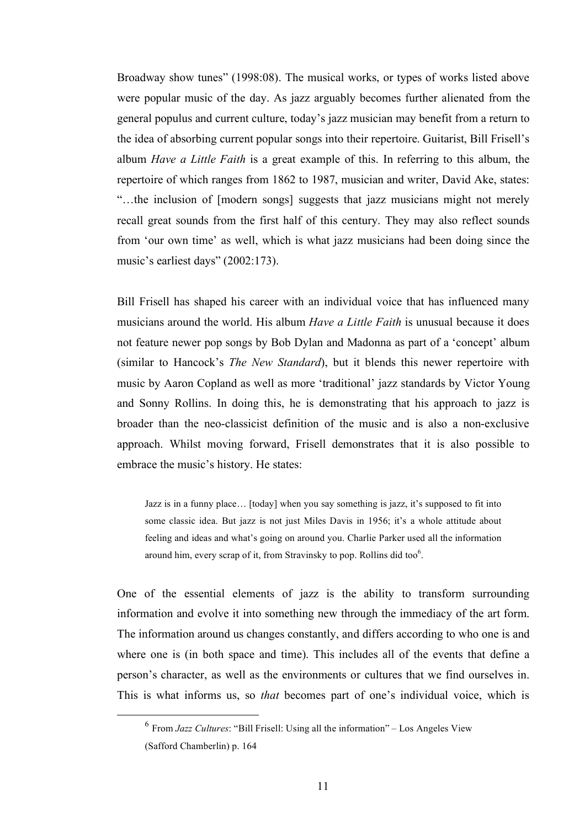Broadway show tunes" (1998:08). The musical works, or types of works listed above were popular music of the day. As jazz arguably becomes further alienated from the general populus and current culture, today's jazz musician may benefit from a return to the idea of absorbing current popular songs into their repertoire. Guitarist, Bill Frisell's album *Have a Little Faith* is a great example of this. In referring to this album, the repertoire of which ranges from 1862 to 1987, musician and writer, David Ake, states: "…the inclusion of [modern songs] suggests that jazz musicians might not merely recall great sounds from the first half of this century. They may also reflect sounds from 'our own time' as well, which is what jazz musicians had been doing since the music's earliest days" (2002:173).

Bill Frisell has shaped his career with an individual voice that has influenced many musicians around the world. His album *Have a Little Faith* is unusual because it does not feature newer pop songs by Bob Dylan and Madonna as part of a 'concept' album (similar to Hancock's *The New Standard*), but it blends this newer repertoire with music by Aaron Copland as well as more 'traditional' jazz standards by Victor Young and Sonny Rollins. In doing this, he is demonstrating that his approach to jazz is broader than the neo-classicist definition of the music and is also a non-exclusive approach. Whilst moving forward, Frisell demonstrates that it is also possible to embrace the music's history. He states:

Jazz is in a funny place… [today] when you say something is jazz, it's supposed to fit into some classic idea. But jazz is not just Miles Davis in 1956; it's a whole attitude about feeling and ideas and what's going on around you. Charlie Parker used all the information around him, every scrap of it, from Stravinsky to pop. Rollins did too $^6$ .

One of the essential elements of jazz is the ability to transform surrounding information and evolve it into something new through the immediacy of the art form. The information around us changes constantly, and differs according to who one is and where one is (in both space and time). This includes all of the events that define a person's character, as well as the environments or cultures that we find ourselves in. This is what informs us, so *that* becomes part of one's individual voice, which is

 <sup>6</sup> From *Jazz Cultures*: "Bill Frisell: Using all the information" – Los Angeles View (Safford Chamberlin) p. 164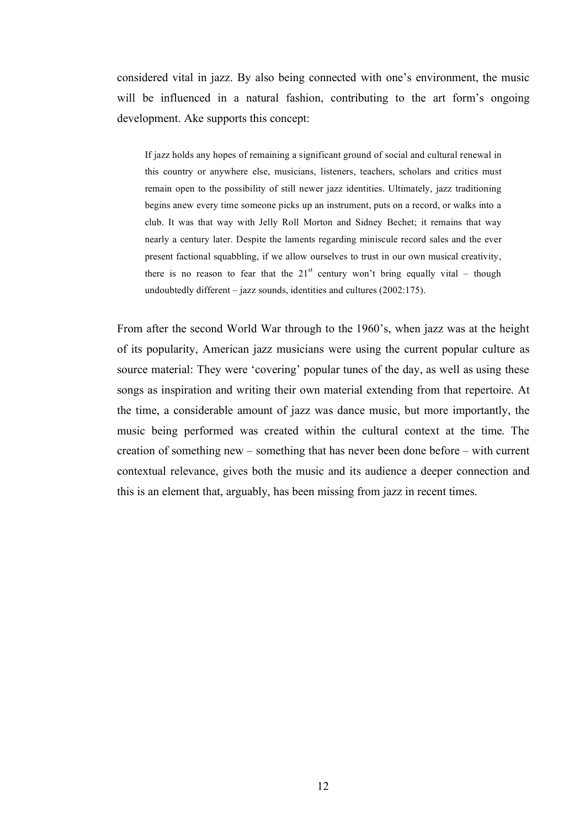considered vital in jazz. By also being connected with one's environment, the music will be influenced in a natural fashion, contributing to the art form's ongoing development. Ake supports this concept:

If jazz holds any hopes of remaining a significant ground of social and cultural renewal in this country or anywhere else, musicians, listeners, teachers, scholars and critics must remain open to the possibility of still newer jazz identities. Ultimately, jazz traditioning begins anew every time someone picks up an instrument, puts on a record, or walks into a club. It was that way with Jelly Roll Morton and Sidney Bechet; it remains that way nearly a century later. Despite the laments regarding miniscule record sales and the ever present factional squabbling, if we allow ourselves to trust in our own musical creativity, there is no reason to fear that the  $21<sup>st</sup>$  century won't bring equally vital – though undoubtedly different – jazz sounds, identities and cultures (2002:175).

From after the second World War through to the 1960's, when jazz was at the height of its popularity, American jazz musicians were using the current popular culture as source material: They were 'covering' popular tunes of the day, as well as using these songs as inspiration and writing their own material extending from that repertoire. At the time, a considerable amount of jazz was dance music, but more importantly, the music being performed was created within the cultural context at the time. The creation of something new – something that has never been done before – with current contextual relevance, gives both the music and its audience a deeper connection and this is an element that, arguably, has been missing from jazz in recent times.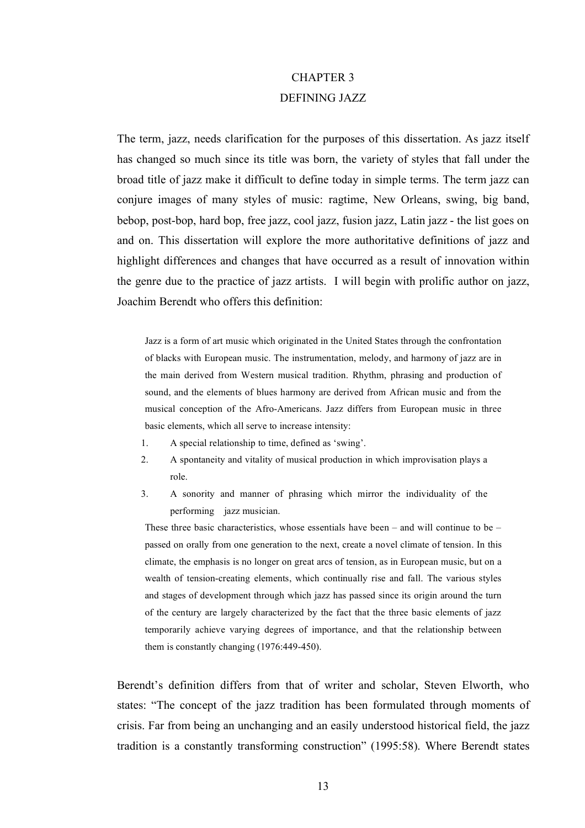## CHAPTER 3 DEFINING JAZZ

The term, jazz, needs clarification for the purposes of this dissertation. As jazz itself has changed so much since its title was born, the variety of styles that fall under the broad title of jazz make it difficult to define today in simple terms. The term jazz can conjure images of many styles of music: ragtime, New Orleans, swing, big band, bebop, post-bop, hard bop, free jazz, cool jazz, fusion jazz, Latin jazz - the list goes on and on. This dissertation will explore the more authoritative definitions of jazz and highlight differences and changes that have occurred as a result of innovation within the genre due to the practice of jazz artists. I will begin with prolific author on jazz, Joachim Berendt who offers this definition:

Jazz is a form of art music which originated in the United States through the confrontation of blacks with European music. The instrumentation, melody, and harmony of jazz are in the main derived from Western musical tradition. Rhythm, phrasing and production of sound, and the elements of blues harmony are derived from African music and from the musical conception of the Afro-Americans. Jazz differs from European music in three basic elements, which all serve to increase intensity:

- 1. A special relationship to time, defined as 'swing'.
- 2. A spontaneity and vitality of musical production in which improvisation plays a role.
- 3. A sonority and manner of phrasing which mirror the individuality of the performing jazz musician.

These three basic characteristics, whose essentials have been  $-$  and will continue to be  $$ passed on orally from one generation to the next, create a novel climate of tension. In this climate, the emphasis is no longer on great arcs of tension, as in European music, but on a wealth of tension-creating elements, which continually rise and fall. The various styles and stages of development through which jazz has passed since its origin around the turn of the century are largely characterized by the fact that the three basic elements of jazz temporarily achieve varying degrees of importance, and that the relationship between them is constantly changing (1976:449-450).

Berendt's definition differs from that of writer and scholar, Steven Elworth, who states: "The concept of the jazz tradition has been formulated through moments of crisis. Far from being an unchanging and an easily understood historical field, the jazz tradition is a constantly transforming construction" (1995:58). Where Berendt states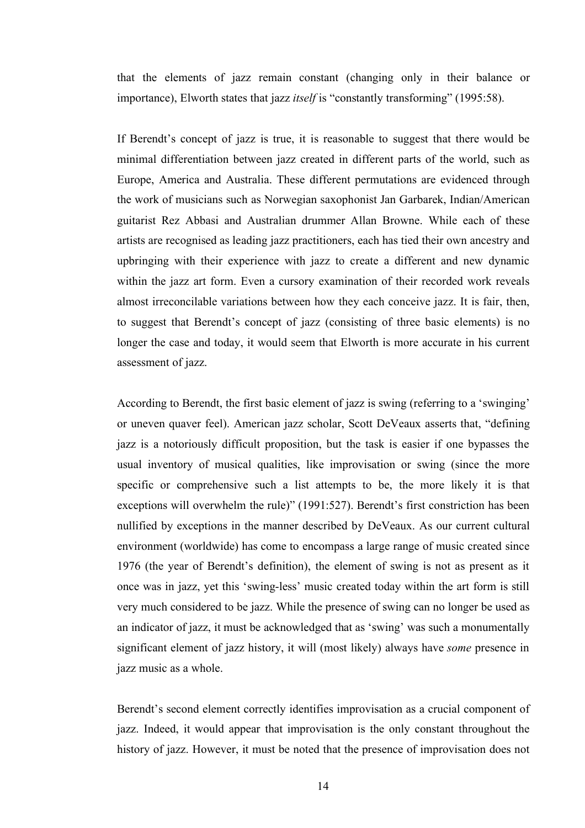that the elements of jazz remain constant (changing only in their balance or importance), Elworth states that jazz *itself* is "constantly transforming" (1995:58).

If Berendt's concept of jazz is true, it is reasonable to suggest that there would be minimal differentiation between jazz created in different parts of the world, such as Europe, America and Australia. These different permutations are evidenced through the work of musicians such as Norwegian saxophonist Jan Garbarek, Indian/American guitarist Rez Abbasi and Australian drummer Allan Browne. While each of these artists are recognised as leading jazz practitioners, each has tied their own ancestry and upbringing with their experience with jazz to create a different and new dynamic within the jazz art form. Even a cursory examination of their recorded work reveals almost irreconcilable variations between how they each conceive jazz. It is fair, then, to suggest that Berendt's concept of jazz (consisting of three basic elements) is no longer the case and today, it would seem that Elworth is more accurate in his current assessment of jazz.

According to Berendt, the first basic element of jazz is swing (referring to a 'swinging' or uneven quaver feel). American jazz scholar, Scott DeVeaux asserts that, "defining jazz is a notoriously difficult proposition, but the task is easier if one bypasses the usual inventory of musical qualities, like improvisation or swing (since the more specific or comprehensive such a list attempts to be, the more likely it is that exceptions will overwhelm the rule)" (1991:527). Berendt's first constriction has been nullified by exceptions in the manner described by DeVeaux. As our current cultural environment (worldwide) has come to encompass a large range of music created since 1976 (the year of Berendt's definition), the element of swing is not as present as it once was in jazz, yet this 'swing-less' music created today within the art form is still very much considered to be jazz. While the presence of swing can no longer be used as an indicator of jazz, it must be acknowledged that as 'swing' was such a monumentally significant element of jazz history, it will (most likely) always have *some* presence in jazz music as a whole.

Berendt's second element correctly identifies improvisation as a crucial component of jazz. Indeed, it would appear that improvisation is the only constant throughout the history of jazz. However, it must be noted that the presence of improvisation does not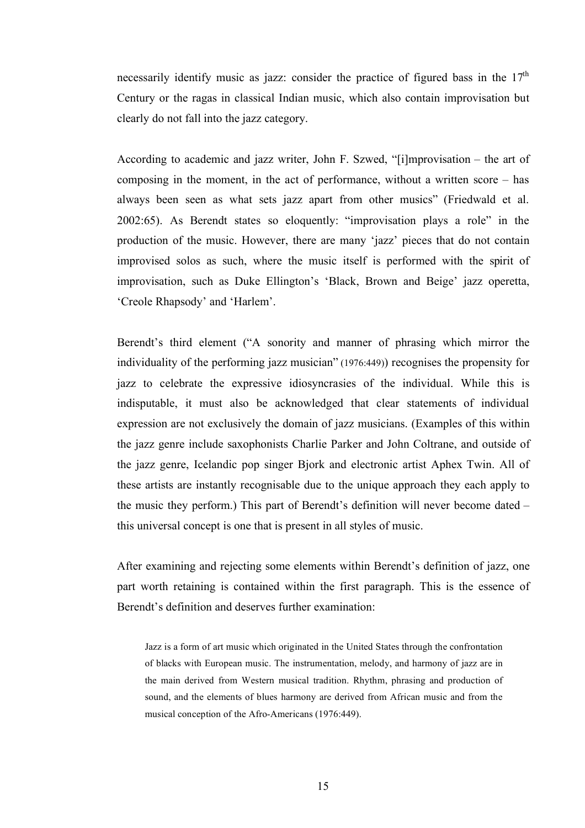necessarily identify music as jazz: consider the practice of figured bass in the  $17<sup>th</sup>$ Century or the ragas in classical Indian music, which also contain improvisation but clearly do not fall into the jazz category.

According to academic and jazz writer, John F. Szwed, "[i]mprovisation – the art of composing in the moment, in the act of performance, without a written score – has always been seen as what sets jazz apart from other musics" (Friedwald et al. 2002:65). As Berendt states so eloquently: "improvisation plays a role" in the production of the music. However, there are many 'jazz' pieces that do not contain improvised solos as such, where the music itself is performed with the spirit of improvisation, such as Duke Ellington's 'Black, Brown and Beige' jazz operetta, 'Creole Rhapsody' and 'Harlem'.

Berendt's third element ("A sonority and manner of phrasing which mirror the individuality of the performing jazz musician" (1976:449)) recognises the propensity for jazz to celebrate the expressive idiosyncrasies of the individual. While this is indisputable, it must also be acknowledged that clear statements of individual expression are not exclusively the domain of jazz musicians. (Examples of this within the jazz genre include saxophonists Charlie Parker and John Coltrane, and outside of the jazz genre, Icelandic pop singer Bjork and electronic artist Aphex Twin. All of these artists are instantly recognisable due to the unique approach they each apply to the music they perform.) This part of Berendt's definition will never become dated – this universal concept is one that is present in all styles of music.

After examining and rejecting some elements within Berendt's definition of jazz, one part worth retaining is contained within the first paragraph. This is the essence of Berendt's definition and deserves further examination:

Jazz is a form of art music which originated in the United States through the confrontation of blacks with European music. The instrumentation, melody, and harmony of jazz are in the main derived from Western musical tradition. Rhythm, phrasing and production of sound, and the elements of blues harmony are derived from African music and from the musical conception of the Afro-Americans (1976:449).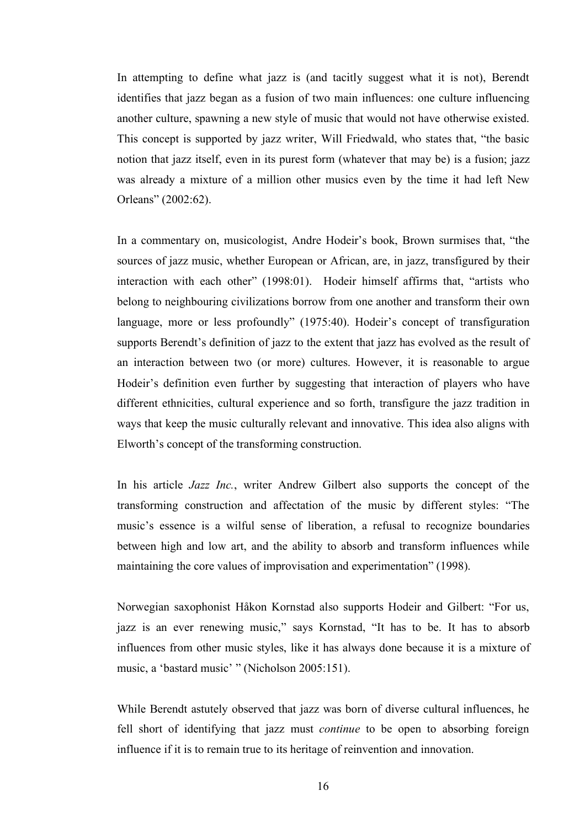In attempting to define what jazz is (and tacitly suggest what it is not), Berendt identifies that jazz began as a fusion of two main influences: one culture influencing another culture, spawning a new style of music that would not have otherwise existed. This concept is supported by jazz writer, Will Friedwald, who states that, "the basic notion that jazz itself, even in its purest form (whatever that may be) is a fusion; jazz was already a mixture of a million other musics even by the time it had left New Orleans" (2002:62).

In a commentary on, musicologist, Andre Hodeir's book, Brown surmises that, "the sources of jazz music, whether European or African, are, in jazz, transfigured by their interaction with each other" (1998:01). Hodeir himself affirms that, "artists who belong to neighbouring civilizations borrow from one another and transform their own language, more or less profoundly" (1975:40). Hodeir's concept of transfiguration supports Berendt's definition of jazz to the extent that jazz has evolved as the result of an interaction between two (or more) cultures. However, it is reasonable to argue Hodeir's definition even further by suggesting that interaction of players who have different ethnicities, cultural experience and so forth, transfigure the jazz tradition in ways that keep the music culturally relevant and innovative. This idea also aligns with Elworth's concept of the transforming construction.

In his article *Jazz Inc.*, writer Andrew Gilbert also supports the concept of the transforming construction and affectation of the music by different styles: "The music's essence is a wilful sense of liberation, a refusal to recognize boundaries between high and low art, and the ability to absorb and transform influences while maintaining the core values of improvisation and experimentation" (1998).

Norwegian saxophonist Håkon Kornstad also supports Hodeir and Gilbert: "For us, jazz is an ever renewing music," says Kornstad, "It has to be. It has to absorb influences from other music styles, like it has always done because it is a mixture of music, a 'bastard music' " (Nicholson 2005:151).

While Berendt astutely observed that jazz was born of diverse cultural influences, he fell short of identifying that jazz must *continue* to be open to absorbing foreign influence if it is to remain true to its heritage of reinvention and innovation.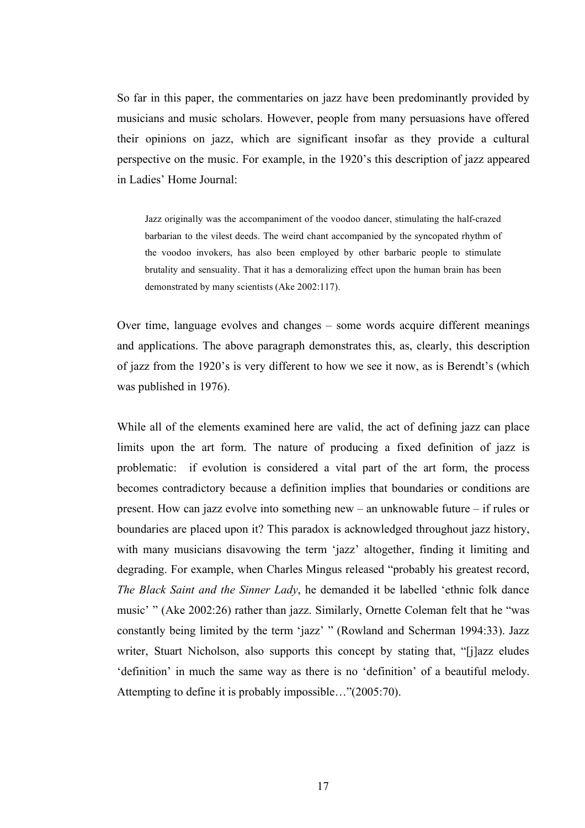So far in this paper, the commentaries on jazz have been predominantly provided by musicians and music scholars. However, people from many persuasions have offered their opinions on jazz, which are significant insofar as they provide a cultural perspective on the music. For example, in the 1920's this description of jazz appeared in Ladies' Home Journal:

Jazz originally was the accompaniment of the voodoo dancer, stimulating the half-crazed barbarian to the vilest deeds. The weird chant accompanied by the syncopated rhythm of the voodoo invokers, has also been employed by other barbaric people to stimulate brutality and sensuality. That it has a demoralizing effect upon the human brain has been demonstrated by many scientists (Ake 2002:117).

Over time, language evolves and changes – some words acquire different meanings and applications. The above paragraph demonstrates this, as, clearly, this description of jazz from the 1920's is very different to how we see it now, as is Berendt's (which was published in 1976).

While all of the elements examined here are valid, the act of defining jazz can place limits upon the art form. The nature of producing a fixed definition of jazz is problematic: if evolution is considered a vital part of the art form, the process becomes contradictory because a definition implies that boundaries or conditions are present. How can jazz evolve into something new – an unknowable future – if rules or boundaries are placed upon it? This paradox is acknowledged throughout jazz history, with many musicians disavowing the term 'jazz' altogether, finding it limiting and degrading. For example, when Charles Mingus released "probably his greatest record, *The Black Saint and the Sinner Lady*, he demanded it be labelled 'ethnic folk dance music' " (Ake 2002:26) rather than jazz. Similarly, Ornette Coleman felt that he "was constantly being limited by the term 'jazz' " (Rowland and Scherman 1994:33). Jazz writer, Stuart Nicholson, also supports this concept by stating that, "[j]azz eludes 'definition' in much the same way as there is no 'definition' of a beautiful melody. Attempting to define it is probably impossible…"(2005:70).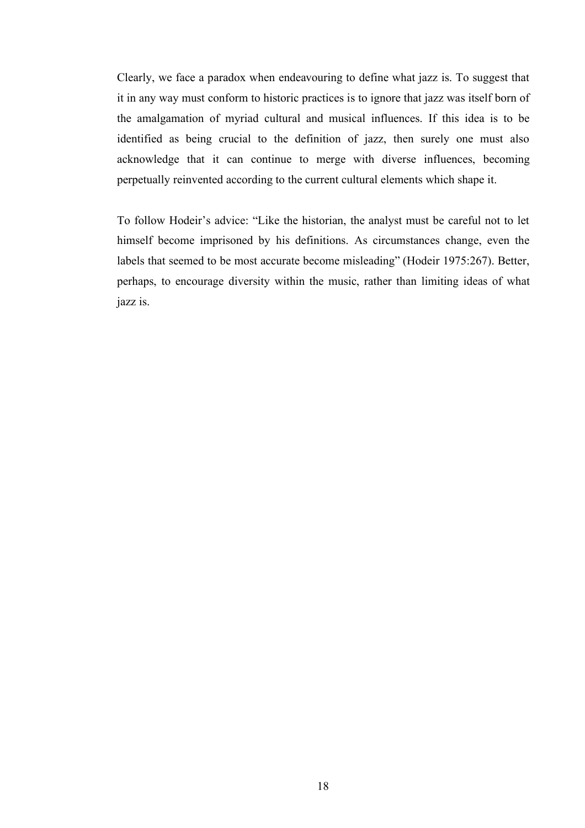Clearly, we face a paradox when endeavouring to define what jazz is. To suggest that it in any way must conform to historic practices is to ignore that jazz was itself born of the amalgamation of myriad cultural and musical influences. If this idea is to be identified as being crucial to the definition of jazz, then surely one must also acknowledge that it can continue to merge with diverse influences, becoming perpetually reinvented according to the current cultural elements which shape it.

To follow Hodeir's advice: "Like the historian, the analyst must be careful not to let himself become imprisoned by his definitions. As circumstances change, even the labels that seemed to be most accurate become misleading" (Hodeir 1975:267). Better, perhaps, to encourage diversity within the music, rather than limiting ideas of what jazz is.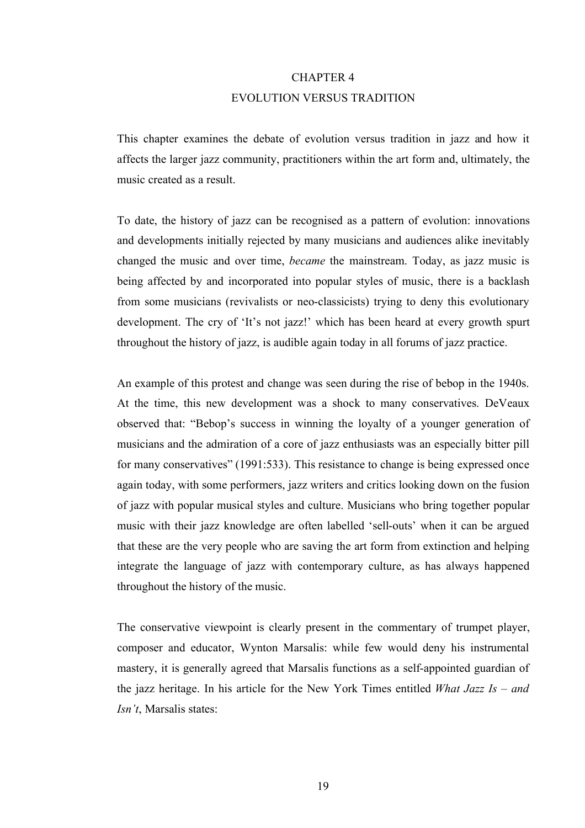# CHAPTER 4 EVOLUTION VERSUS TRADITION

This chapter examines the debate of evolution versus tradition in jazz and how it affects the larger jazz community, practitioners within the art form and, ultimately, the music created as a result.

To date, the history of jazz can be recognised as a pattern of evolution: innovations and developments initially rejected by many musicians and audiences alike inevitably changed the music and over time, *became* the mainstream. Today, as jazz music is being affected by and incorporated into popular styles of music, there is a backlash from some musicians (revivalists or neo-classicists) trying to deny this evolutionary development. The cry of 'It's not jazz!' which has been heard at every growth spurt throughout the history of jazz, is audible again today in all forums of jazz practice.

An example of this protest and change was seen during the rise of bebop in the 1940s. At the time, this new development was a shock to many conservatives. DeVeaux observed that: "Bebop's success in winning the loyalty of a younger generation of musicians and the admiration of a core of jazz enthusiasts was an especially bitter pill for many conservatives" (1991:533). This resistance to change is being expressed once again today, with some performers, jazz writers and critics looking down on the fusion of jazz with popular musical styles and culture. Musicians who bring together popular music with their jazz knowledge are often labelled 'sell-outs' when it can be argued that these are the very people who are saving the art form from extinction and helping integrate the language of jazz with contemporary culture, as has always happened throughout the history of the music.

The conservative viewpoint is clearly present in the commentary of trumpet player, composer and educator, Wynton Marsalis: while few would deny his instrumental mastery, it is generally agreed that Marsalis functions as a self-appointed guardian of the jazz heritage. In his article for the New York Times entitled *What Jazz Is – and Isn't*, Marsalis states: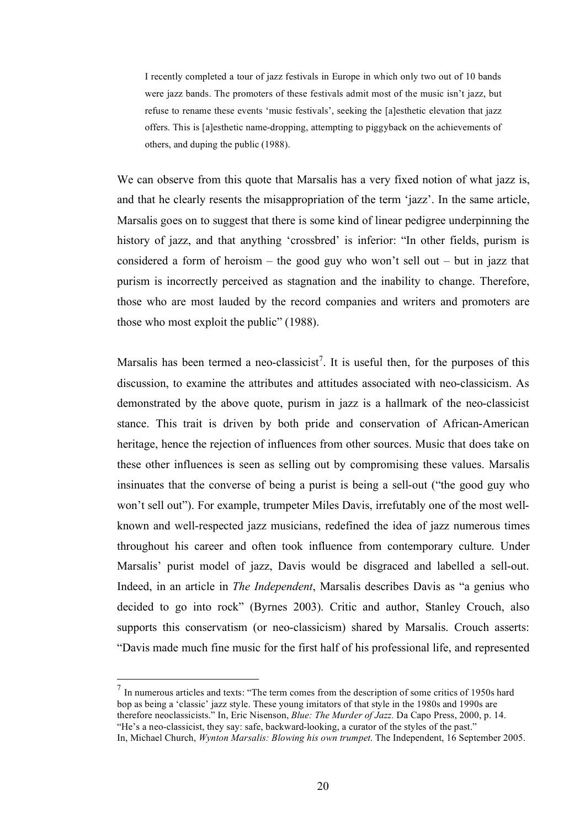I recently completed a tour of jazz festivals in Europe in which only two out of 10 bands were jazz bands. The promoters of these festivals admit most of the music isn't jazz, but refuse to rename these events 'music festivals', seeking the [a]esthetic elevation that jazz offers. This is [a]esthetic name-dropping, attempting to piggyback on the achievements of others, and duping the public (1988).

We can observe from this quote that Marsalis has a very fixed notion of what jazz is, and that he clearly resents the misappropriation of the term 'jazz'. In the same article, Marsalis goes on to suggest that there is some kind of linear pedigree underpinning the history of jazz, and that anything 'crossbred' is inferior: "In other fields, purism is considered a form of heroism – the good guy who won't sell out – but in jazz that purism is incorrectly perceived as stagnation and the inability to change. Therefore, those who are most lauded by the record companies and writers and promoters are those who most exploit the public" (1988).

Marsalis has been termed a neo-classicist<sup>7</sup>. It is useful then, for the purposes of this discussion, to examine the attributes and attitudes associated with neo-classicism. As demonstrated by the above quote, purism in jazz is a hallmark of the neo-classicist stance. This trait is driven by both pride and conservation of African-American heritage, hence the rejection of influences from other sources. Music that does take on these other influences is seen as selling out by compromising these values. Marsalis insinuates that the converse of being a purist is being a sell-out ("the good guy who won't sell out"). For example, trumpeter Miles Davis, irrefutably one of the most wellknown and well-respected jazz musicians, redefined the idea of jazz numerous times throughout his career and often took influence from contemporary culture. Under Marsalis' purist model of jazz, Davis would be disgraced and labelled a sell-out. Indeed, in an article in *The Independent*, Marsalis describes Davis as "a genius who decided to go into rock" (Byrnes 2003). Critic and author, Stanley Crouch, also supports this conservatism (or neo-classicism) shared by Marsalis. Crouch asserts: "Davis made much fine music for the first half of his professional life, and represented

 $<sup>7</sup>$  In numerous articles and texts: "The term comes from the description of some critics of 1950s hard</sup> bop as being a 'classic' jazz style. These young imitators of that style in the 1980s and 1990s are therefore neoclassicists." In, Eric Nisenson, *Blue: The Murder of Jazz.* Da Capo Press, 2000, p. 14. "He's a neo-classicist, they say: safe, backward-looking, a curator of the styles of the past."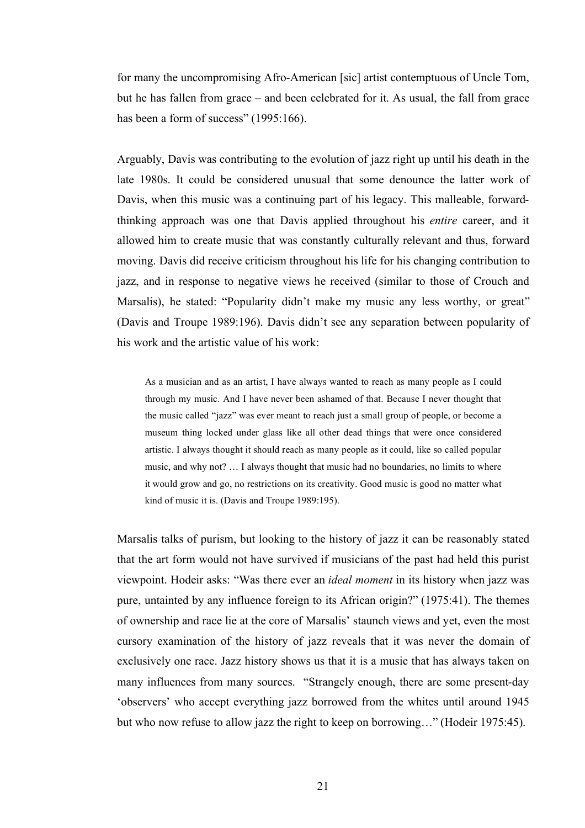for many the uncompromising Afro-American [sic] artist contemptuous of Uncle Tom, but he has fallen from grace – and been celebrated for it. As usual, the fall from grace has been a form of success" (1995:166).

Arguably, Davis was contributing to the evolution of jazz right up until his death in the late 1980s. It could be considered unusual that some denounce the latter work of Davis, when this music was a continuing part of his legacy. This malleable, forwardthinking approach was one that Davis applied throughout his *entire* career, and it allowed him to create music that was constantly culturally relevant and thus, forward moving. Davis did receive criticism throughout his life for his changing contribution to jazz, and in response to negative views he received (similar to those of Crouch and Marsalis), he stated: "Popularity didn't make my music any less worthy, or great" (Davis and Troupe 1989:196). Davis didn't see any separation between popularity of his work and the artistic value of his work:

As a musician and as an artist, I have always wanted to reach as many people as I could through my music. And I have never been ashamed of that. Because I never thought that the music called "jazz" was ever meant to reach just a small group of people, or become a museum thing locked under glass like all other dead things that were once considered artistic. I always thought it should reach as many people as it could, like so called popular music, and why not? … I always thought that music had no boundaries, no limits to where it would grow and go, no restrictions on its creativity. Good music is good no matter what kind of music it is. (Davis and Troupe 1989:195).

Marsalis talks of purism, but looking to the history of jazz it can be reasonably stated that the art form would not have survived if musicians of the past had held this purist viewpoint. Hodeir asks: "Was there ever an *ideal moment* in its history when jazz was pure, untainted by any influence foreign to its African origin?" (1975:41). The themes of ownership and race lie at the core of Marsalis' staunch views and yet, even the most cursory examination of the history of jazz reveals that it was never the domain of exclusively one race. Jazz history shows us that it is a music that has always taken on many influences from many sources. "Strangely enough, there are some present-day 'observers' who accept everything jazz borrowed from the whites until around 1945 but who now refuse to allow jazz the right to keep on borrowing…" (Hodeir 1975:45).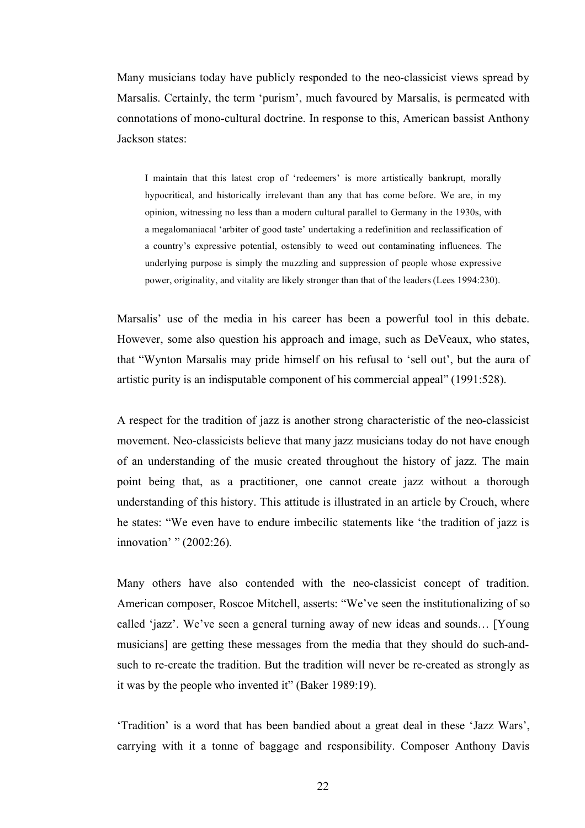Many musicians today have publicly responded to the neo-classicist views spread by Marsalis. Certainly, the term 'purism', much favoured by Marsalis, is permeated with connotations of mono-cultural doctrine. In response to this, American bassist Anthony Jackson states:

I maintain that this latest crop of 'redeemers' is more artistically bankrupt, morally hypocritical, and historically irrelevant than any that has come before. We are, in my opinion, witnessing no less than a modern cultural parallel to Germany in the 1930s, with a megalomaniacal 'arbiter of good taste' undertaking a redefinition and reclassification of a country's expressive potential, ostensibly to weed out contaminating influences. The underlying purpose is simply the muzzling and suppression of people whose expressive power, originality, and vitality are likely stronger than that of the leaders (Lees 1994:230).

Marsalis' use of the media in his career has been a powerful tool in this debate. However, some also question his approach and image, such as DeVeaux, who states, that "Wynton Marsalis may pride himself on his refusal to 'sell out', but the aura of artistic purity is an indisputable component of his commercial appeal" (1991:528).

A respect for the tradition of jazz is another strong characteristic of the neo-classicist movement. Neo-classicists believe that many jazz musicians today do not have enough of an understanding of the music created throughout the history of jazz. The main point being that, as a practitioner, one cannot create jazz without a thorough understanding of this history. This attitude is illustrated in an article by Crouch, where he states: "We even have to endure imbecilic statements like 'the tradition of jazz is innovation' " (2002:26).

Many others have also contended with the neo-classicist concept of tradition. American composer, Roscoe Mitchell, asserts: "We've seen the institutionalizing of so called 'jazz'. We've seen a general turning away of new ideas and sounds… [Young musicians] are getting these messages from the media that they should do such-andsuch to re-create the tradition. But the tradition will never be re-created as strongly as it was by the people who invented it" (Baker 1989:19).

'Tradition' is a word that has been bandied about a great deal in these 'Jazz Wars', carrying with it a tonne of baggage and responsibility. Composer Anthony Davis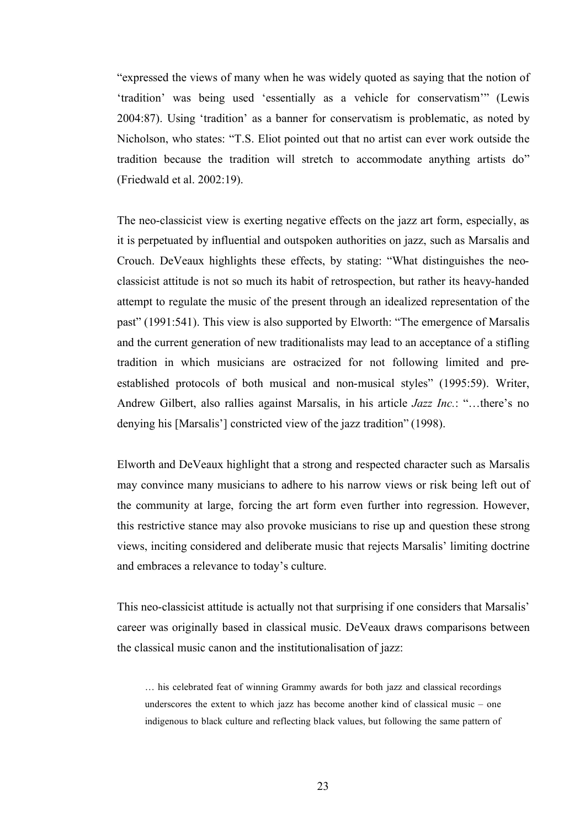"expressed the views of many when he was widely quoted as saying that the notion of 'tradition' was being used 'essentially as a vehicle for conservatism'" (Lewis 2004:87). Using 'tradition' as a banner for conservatism is problematic, as noted by Nicholson, who states: "T.S. Eliot pointed out that no artist can ever work outside the tradition because the tradition will stretch to accommodate anything artists do" (Friedwald et al. 2002:19).

The neo-classicist view is exerting negative effects on the jazz art form, especially, as it is perpetuated by influential and outspoken authorities on jazz, such as Marsalis and Crouch. DeVeaux highlights these effects, by stating: "What distinguishes the neoclassicist attitude is not so much its habit of retrospection, but rather its heavy-handed attempt to regulate the music of the present through an idealized representation of the past" (1991:541). This view is also supported by Elworth: "The emergence of Marsalis and the current generation of new traditionalists may lead to an acceptance of a stifling tradition in which musicians are ostracized for not following limited and preestablished protocols of both musical and non-musical styles" (1995:59). Writer, Andrew Gilbert, also rallies against Marsalis, in his article *Jazz Inc.*: "…there's no denying his [Marsalis'] constricted view of the jazz tradition" (1998).

Elworth and DeVeaux highlight that a strong and respected character such as Marsalis may convince many musicians to adhere to his narrow views or risk being left out of the community at large, forcing the art form even further into regression. However, this restrictive stance may also provoke musicians to rise up and question these strong views, inciting considered and deliberate music that rejects Marsalis' limiting doctrine and embraces a relevance to today's culture.

This neo-classicist attitude is actually not that surprising if one considers that Marsalis' career was originally based in classical music. DeVeaux draws comparisons between the classical music canon and the institutionalisation of jazz:

… his celebrated feat of winning Grammy awards for both jazz and classical recordings underscores the extent to which jazz has become another kind of classical music – one indigenous to black culture and reflecting black values, but following the same pattern of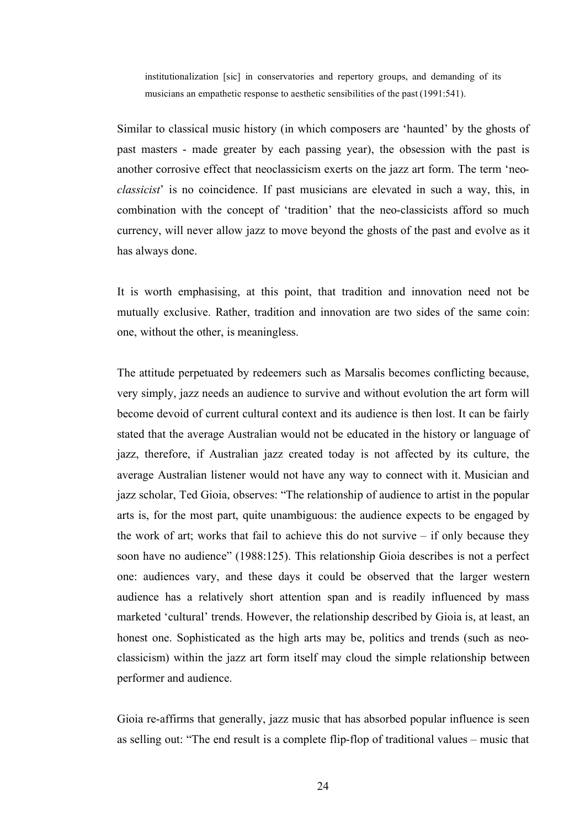institutionalization [sic] in conservatories and repertory groups, and demanding of its musicians an empathetic response to aesthetic sensibilities of the past (1991:541).

Similar to classical music history (in which composers are 'haunted' by the ghosts of past masters - made greater by each passing year), the obsession with the past is another corrosive effect that neoclassicism exerts on the jazz art form. The term 'neo*classicist*' is no coincidence. If past musicians are elevated in such a way, this, in combination with the concept of 'tradition' that the neo-classicists afford so much currency, will never allow jazz to move beyond the ghosts of the past and evolve as it has always done.

It is worth emphasising, at this point, that tradition and innovation need not be mutually exclusive. Rather, tradition and innovation are two sides of the same coin: one, without the other, is meaningless.

The attitude perpetuated by redeemers such as Marsalis becomes conflicting because, very simply, jazz needs an audience to survive and without evolution the art form will become devoid of current cultural context and its audience is then lost. It can be fairly stated that the average Australian would not be educated in the history or language of jazz, therefore, if Australian jazz created today is not affected by its culture, the average Australian listener would not have any way to connect with it. Musician and jazz scholar, Ted Gioia, observes: "The relationship of audience to artist in the popular arts is, for the most part, quite unambiguous: the audience expects to be engaged by the work of art; works that fail to achieve this do not survive – if only because they soon have no audience" (1988:125). This relationship Gioia describes is not a perfect one: audiences vary, and these days it could be observed that the larger western audience has a relatively short attention span and is readily influenced by mass marketed 'cultural' trends. However, the relationship described by Gioia is, at least, an honest one. Sophisticated as the high arts may be, politics and trends (such as neoclassicism) within the jazz art form itself may cloud the simple relationship between performer and audience.

Gioia re-affirms that generally, jazz music that has absorbed popular influence is seen as selling out: "The end result is a complete flip-flop of traditional values – music that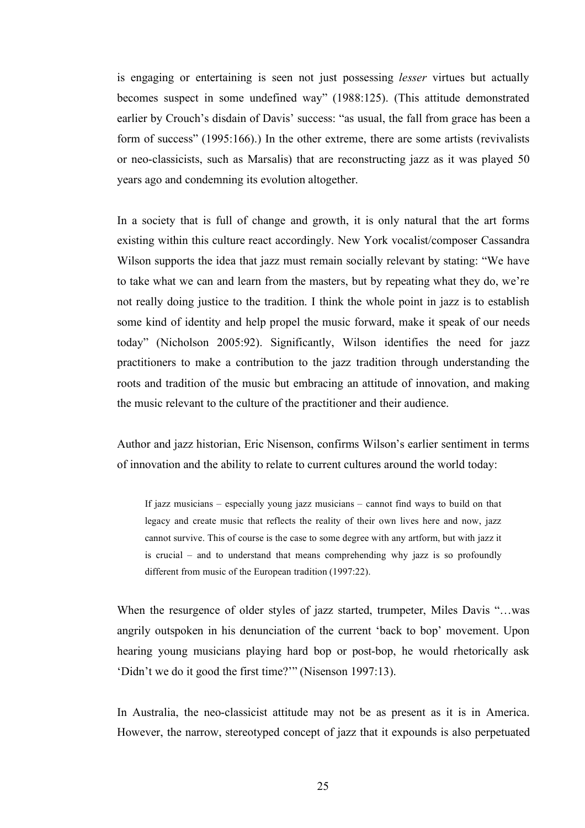is engaging or entertaining is seen not just possessing *lesser* virtues but actually becomes suspect in some undefined way" (1988:125). (This attitude demonstrated earlier by Crouch's disdain of Davis' success: "as usual, the fall from grace has been a form of success" (1995:166).) In the other extreme, there are some artists (revivalists or neo-classicists, such as Marsalis) that are reconstructing jazz as it was played 50 years ago and condemning its evolution altogether.

In a society that is full of change and growth, it is only natural that the art forms existing within this culture react accordingly. New York vocalist/composer Cassandra Wilson supports the idea that jazz must remain socially relevant by stating: "We have to take what we can and learn from the masters, but by repeating what they do, we're not really doing justice to the tradition. I think the whole point in jazz is to establish some kind of identity and help propel the music forward, make it speak of our needs today" (Nicholson 2005:92). Significantly, Wilson identifies the need for jazz practitioners to make a contribution to the jazz tradition through understanding the roots and tradition of the music but embracing an attitude of innovation, and making the music relevant to the culture of the practitioner and their audience.

Author and jazz historian, Eric Nisenson, confirms Wilson's earlier sentiment in terms of innovation and the ability to relate to current cultures around the world today:

If jazz musicians – especially young jazz musicians – cannot find ways to build on that legacy and create music that reflects the reality of their own lives here and now, jazz cannot survive. This of course is the case to some degree with any artform, but with jazz it is crucial – and to understand that means comprehending why jazz is so profoundly different from music of the European tradition (1997:22).

When the resurgence of older styles of jazz started, trumpeter, Miles Davis "...was angrily outspoken in his denunciation of the current 'back to bop' movement. Upon hearing young musicians playing hard bop or post-bop, he would rhetorically ask 'Didn't we do it good the first time?'" (Nisenson 1997:13).

In Australia, the neo-classicist attitude may not be as present as it is in America. However, the narrow, stereotyped concept of jazz that it expounds is also perpetuated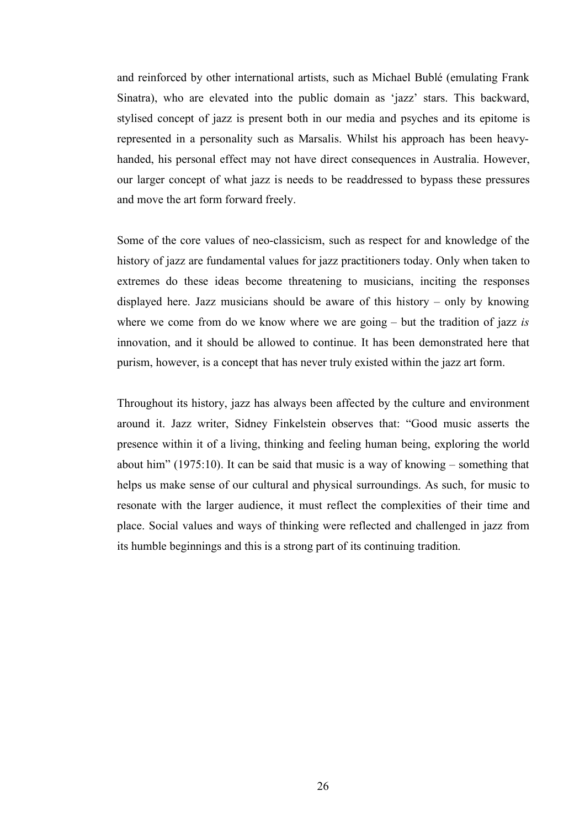and reinforced by other international artists, such as Michael Bublé (emulating Frank Sinatra), who are elevated into the public domain as 'jazz' stars. This backward, stylised concept of jazz is present both in our media and psyches and its epitome is represented in a personality such as Marsalis. Whilst his approach has been heavyhanded, his personal effect may not have direct consequences in Australia. However, our larger concept of what jazz is needs to be readdressed to bypass these pressures and move the art form forward freely.

Some of the core values of neo-classicism, such as respect for and knowledge of the history of jazz are fundamental values for jazz practitioners today. Only when taken to extremes do these ideas become threatening to musicians, inciting the responses displayed here. Jazz musicians should be aware of this history – only by knowing where we come from do we know where we are going – but the tradition of jazz *is* innovation, and it should be allowed to continue. It has been demonstrated here that purism, however, is a concept that has never truly existed within the jazz art form.

Throughout its history, jazz has always been affected by the culture and environment around it. Jazz writer, Sidney Finkelstein observes that: "Good music asserts the presence within it of a living, thinking and feeling human being, exploring the world about him" (1975:10). It can be said that music is a way of knowing – something that helps us make sense of our cultural and physical surroundings. As such, for music to resonate with the larger audience, it must reflect the complexities of their time and place. Social values and ways of thinking were reflected and challenged in jazz from its humble beginnings and this is a strong part of its continuing tradition.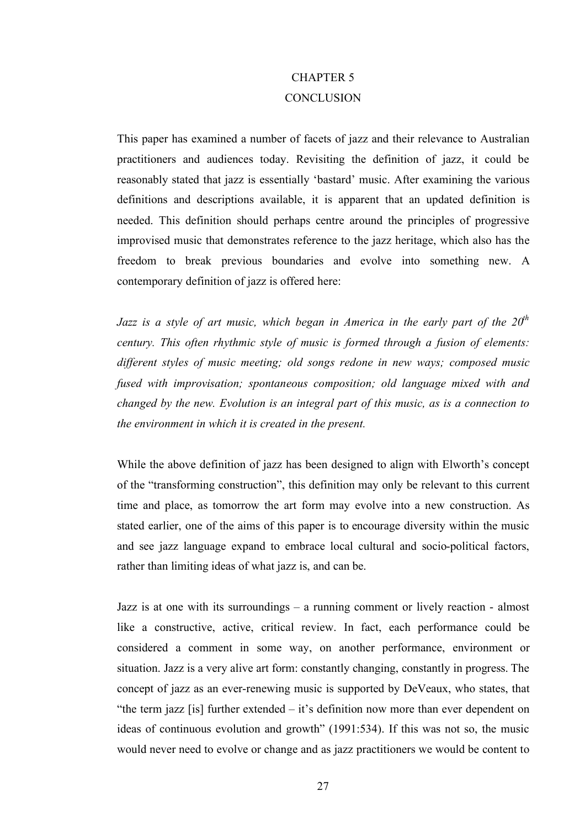# CHAPTER 5 **CONCLUSION**

This paper has examined a number of facets of jazz and their relevance to Australian practitioners and audiences today. Revisiting the definition of jazz, it could be reasonably stated that jazz is essentially 'bastard' music. After examining the various definitions and descriptions available, it is apparent that an updated definition is needed. This definition should perhaps centre around the principles of progressive improvised music that demonstrates reference to the jazz heritage, which also has the freedom to break previous boundaries and evolve into something new. A contemporary definition of jazz is offered here:

*Jazz is a style of art music, which began in America in the early part of the 20<sup>th</sup> century. This often rhythmic style of music is formed through a fusion of elements: different styles of music meeting; old songs redone in new ways; composed music fused with improvisation; spontaneous composition; old language mixed with and changed by the new. Evolution is an integral part of this music, as is a connection to the environment in which it is created in the present.*

While the above definition of jazz has been designed to align with Elworth's concept of the "transforming construction", this definition may only be relevant to this current time and place, as tomorrow the art form may evolve into a new construction. As stated earlier, one of the aims of this paper is to encourage diversity within the music and see jazz language expand to embrace local cultural and socio-political factors, rather than limiting ideas of what jazz is, and can be.

Jazz is at one with its surroundings – a running comment or lively reaction - almost like a constructive, active, critical review. In fact, each performance could be considered a comment in some way, on another performance, environment or situation. Jazz is a very alive art form: constantly changing, constantly in progress. The concept of jazz as an ever-renewing music is supported by DeVeaux, who states, that "the term jazz [is] further extended  $-$  it's definition now more than ever dependent on ideas of continuous evolution and growth" (1991:534). If this was not so, the music would never need to evolve or change and as jazz practitioners we would be content to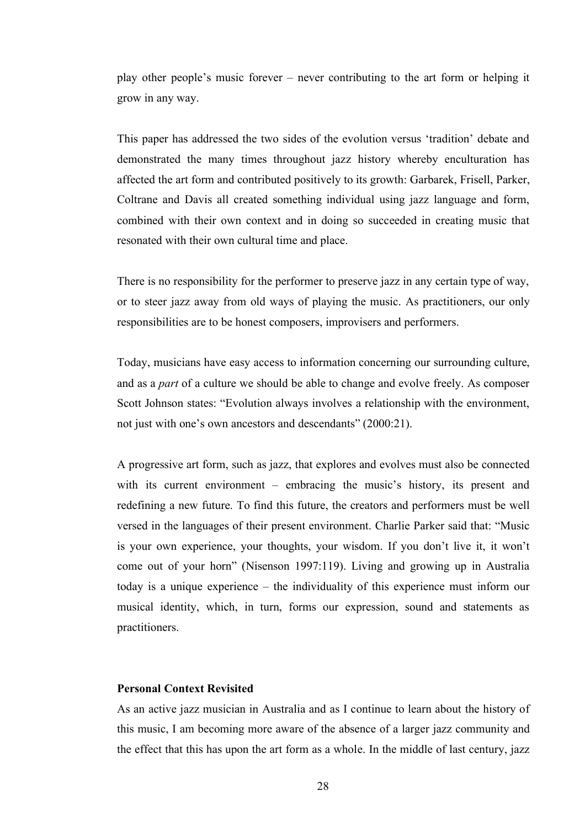play other people's music forever – never contributing to the art form or helping it grow in any way.

This paper has addressed the two sides of the evolution versus 'tradition' debate and demonstrated the many times throughout jazz history whereby enculturation has affected the art form and contributed positively to its growth: Garbarek, Frisell, Parker, Coltrane and Davis all created something individual using jazz language and form, combined with their own context and in doing so succeeded in creating music that resonated with their own cultural time and place.

There is no responsibility for the performer to preserve jazz in any certain type of way, or to steer jazz away from old ways of playing the music. As practitioners, our only responsibilities are to be honest composers, improvisers and performers.

Today, musicians have easy access to information concerning our surrounding culture, and as a *part* of a culture we should be able to change and evolve freely. As composer Scott Johnson states: "Evolution always involves a relationship with the environment, not just with one's own ancestors and descendants" (2000:21).

A progressive art form, such as jazz, that explores and evolves must also be connected with its current environment – embracing the music's history, its present and redefining a new future. To find this future, the creators and performers must be well versed in the languages of their present environment. Charlie Parker said that: "Music is your own experience, your thoughts, your wisdom. If you don't live it, it won't come out of your horn" (Nisenson 1997:119). Living and growing up in Australia today is a unique experience – the individuality of this experience must inform our musical identity, which, in turn, forms our expression, sound and statements as practitioners.

### **Personal Context Revisited**

As an active jazz musician in Australia and as I continue to learn about the history of this music, I am becoming more aware of the absence of a larger jazz community and the effect that this has upon the art form as a whole. In the middle of last century, jazz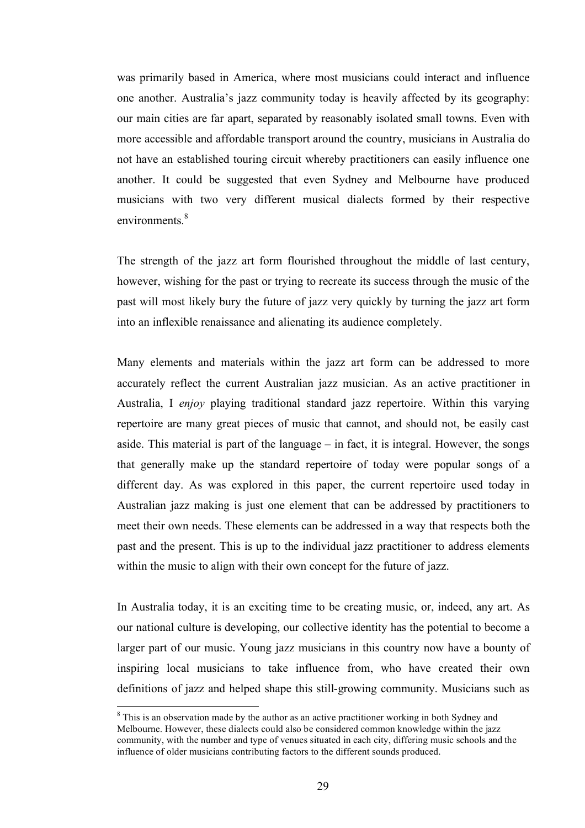was primarily based in America, where most musicians could interact and influence one another. Australia's jazz community today is heavily affected by its geography: our main cities are far apart, separated by reasonably isolated small towns. Even with more accessible and affordable transport around the country, musicians in Australia do not have an established touring circuit whereby practitioners can easily influence one another. It could be suggested that even Sydney and Melbourne have produced musicians with two very different musical dialects formed by their respective environments.<sup>8</sup>

The strength of the jazz art form flourished throughout the middle of last century, however, wishing for the past or trying to recreate its success through the music of the past will most likely bury the future of jazz very quickly by turning the jazz art form into an inflexible renaissance and alienating its audience completely.

Many elements and materials within the jazz art form can be addressed to more accurately reflect the current Australian jazz musician. As an active practitioner in Australia, I *enjoy* playing traditional standard jazz repertoire. Within this varying repertoire are many great pieces of music that cannot, and should not, be easily cast aside. This material is part of the language – in fact, it is integral. However, the songs that generally make up the standard repertoire of today were popular songs of a different day. As was explored in this paper, the current repertoire used today in Australian jazz making is just one element that can be addressed by practitioners to meet their own needs. These elements can be addressed in a way that respects both the past and the present. This is up to the individual jazz practitioner to address elements within the music to align with their own concept for the future of jazz.

In Australia today, it is an exciting time to be creating music, or, indeed, any art. As our national culture is developing, our collective identity has the potential to become a larger part of our music. Young jazz musicians in this country now have a bounty of inspiring local musicians to take influence from, who have created their own definitions of jazz and helped shape this still-growing community. Musicians such as

 <sup>8</sup>  $8$  This is an observation made by the author as an active practitioner working in both Sydney and Melbourne. However, these dialects could also be considered common knowledge within the jazz community, with the number and type of venues situated in each city, differing music schools and the influence of older musicians contributing factors to the different sounds produced.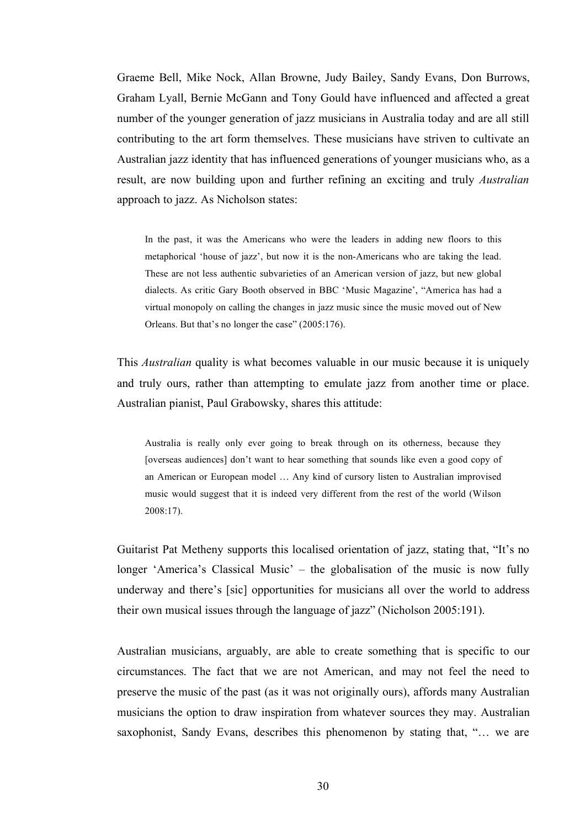Graeme Bell, Mike Nock, Allan Browne, Judy Bailey, Sandy Evans, Don Burrows, Graham Lyall, Bernie McGann and Tony Gould have influenced and affected a great number of the younger generation of jazz musicians in Australia today and are all still contributing to the art form themselves. These musicians have striven to cultivate an Australian jazz identity that has influenced generations of younger musicians who, as a result, are now building upon and further refining an exciting and truly *Australian* approach to jazz. As Nicholson states:

In the past, it was the Americans who were the leaders in adding new floors to this metaphorical 'house of jazz', but now it is the non-Americans who are taking the lead. These are not less authentic subvarieties of an American version of jazz, but new global dialects. As critic Gary Booth observed in BBC 'Music Magazine', "America has had a virtual monopoly on calling the changes in jazz music since the music moved out of New Orleans. But that's no longer the case" (2005:176).

This *Australian* quality is what becomes valuable in our music because it is uniquely and truly ours, rather than attempting to emulate jazz from another time or place. Australian pianist, Paul Grabowsky, shares this attitude:

Australia is really only ever going to break through on its otherness, because they [overseas audiences] don't want to hear something that sounds like even a good copy of an American or European model … Any kind of cursory listen to Australian improvised music would suggest that it is indeed very different from the rest of the world (Wilson 2008:17).

Guitarist Pat Metheny supports this localised orientation of jazz, stating that, "It's no longer 'America's Classical Music' – the globalisation of the music is now fully underway and there's [sic] opportunities for musicians all over the world to address their own musical issues through the language of jazz" (Nicholson 2005:191).

Australian musicians, arguably, are able to create something that is specific to our circumstances. The fact that we are not American, and may not feel the need to preserve the music of the past (as it was not originally ours), affords many Australian musicians the option to draw inspiration from whatever sources they may. Australian saxophonist, Sandy Evans, describes this phenomenon by stating that, "… we are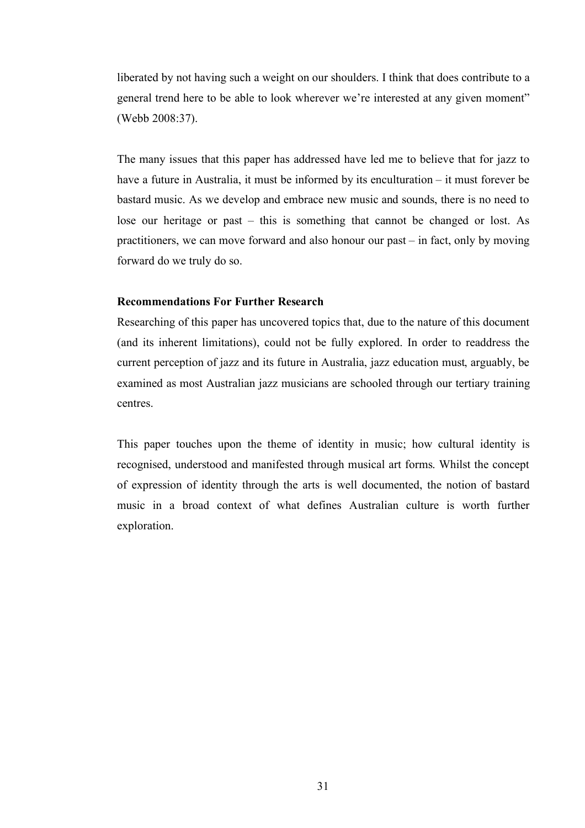liberated by not having such a weight on our shoulders. I think that does contribute to a general trend here to be able to look wherever we're interested at any given moment" (Webb 2008:37).

The many issues that this paper has addressed have led me to believe that for jazz to have a future in Australia, it must be informed by its enculturation – it must forever be bastard music. As we develop and embrace new music and sounds, there is no need to lose our heritage or past – this is something that cannot be changed or lost. As practitioners, we can move forward and also honour our past – in fact, only by moving forward do we truly do so.

### **Recommendations For Further Research**

Researching of this paper has uncovered topics that, due to the nature of this document (and its inherent limitations), could not be fully explored. In order to readdress the current perception of jazz and its future in Australia, jazz education must, arguably, be examined as most Australian jazz musicians are schooled through our tertiary training centres.

This paper touches upon the theme of identity in music; how cultural identity is recognised, understood and manifested through musical art forms. Whilst the concept of expression of identity through the arts is well documented, the notion of bastard music in a broad context of what defines Australian culture is worth further exploration.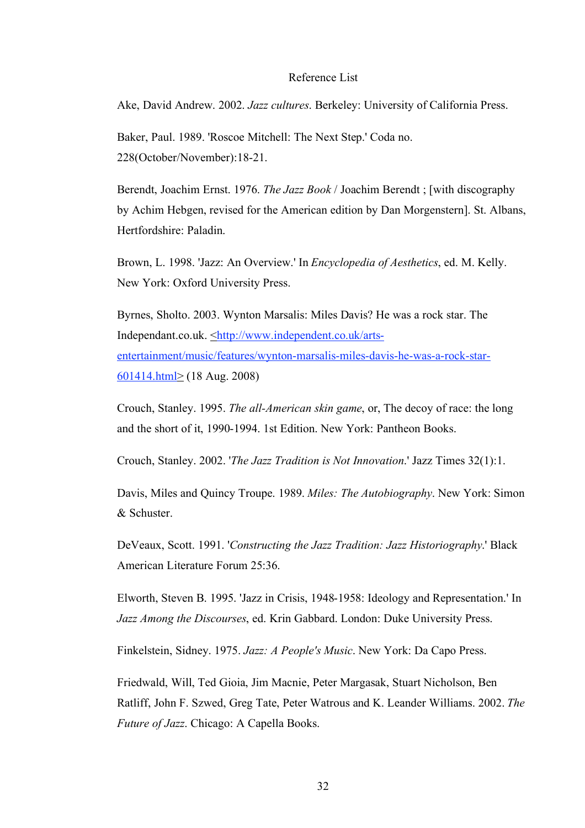#### Reference List

Ake, David Andrew. 2002. *Jazz cultures*. Berkeley: University of California Press.

Baker, Paul. 1989. 'Roscoe Mitchell: The Next Step.' Coda no. 228(October/November):18-21.

Berendt, Joachim Ernst. 1976. *The Jazz Book* / Joachim Berendt ; [with discography by Achim Hebgen, revised for the American edition by Dan Morgenstern]. St. Albans, Hertfordshire: Paladin.

Brown, L. 1998. 'Jazz: An Overview.' In *Encyclopedia of Aesthetics*, ed. M. Kelly. New York: Oxford University Press.

Byrnes, Sholto. 2003. Wynton Marsalis: Miles Davis? He was a rock star. The Independant.co.uk. <http://www.independent.co.uk/artsentertainment/music/features/wynton-marsalis-miles-davis-he-was-a-rock-star-601414.html> (18 Aug. 2008)

Crouch, Stanley. 1995. *The all-American skin game*, or, The decoy of race: the long and the short of it, 1990-1994. 1st Edition. New York: Pantheon Books.

Crouch, Stanley. 2002. '*The Jazz Tradition is Not Innovation*.' Jazz Times 32(1):1.

Davis, Miles and Quincy Troupe. 1989. *Miles: The Autobiography*. New York: Simon & Schuster.

DeVeaux, Scott. 1991. '*Constructing the Jazz Tradition: Jazz Historiography*.' Black American Literature Forum 25:36.

Elworth, Steven B. 1995. 'Jazz in Crisis, 1948-1958: Ideology and Representation.' In *Jazz Among the Discourses*, ed. Krin Gabbard. London: Duke University Press.

Finkelstein, Sidney. 1975. *Jazz: A People's Music*. New York: Da Capo Press.

Friedwald, Will, Ted Gioia, Jim Macnie, Peter Margasak, Stuart Nicholson, Ben Ratliff, John F. Szwed, Greg Tate, Peter Watrous and K. Leander Williams. 2002. *The Future of Jazz*. Chicago: A Capella Books.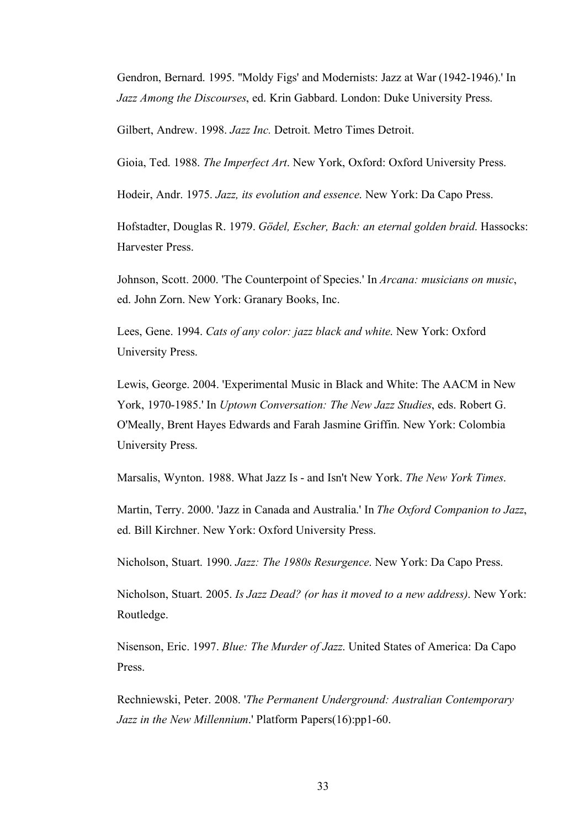Gendron, Bernard. 1995. ''Moldy Figs' and Modernists: Jazz at War (1942-1946).' In *Jazz Among the Discourses*, ed. Krin Gabbard. London: Duke University Press.

Gilbert, Andrew. 1998. *Jazz Inc.* Detroit. Metro Times Detroit.

Gioia, Ted. 1988. *The Imperfect Art*. New York, Oxford: Oxford University Press.

Hodeir, Andr. 1975. *Jazz, its evolution and essence*. New York: Da Capo Press.

Hofstadter, Douglas R. 1979. *Gödel, Escher, Bach: an eternal golden braid*. Hassocks: Harvester Press.

Johnson, Scott. 2000. 'The Counterpoint of Species.' In *Arcana: musicians on music*, ed. John Zorn. New York: Granary Books, Inc.

Lees, Gene. 1994. *Cats of any color: jazz black and white*. New York: Oxford University Press.

Lewis, George. 2004. 'Experimental Music in Black and White: The AACM in New York, 1970-1985.' In *Uptown Conversation: The New Jazz Studies*, eds. Robert G. O'Meally, Brent Hayes Edwards and Farah Jasmine Griffin. New York: Colombia University Press.

Marsalis, Wynton. 1988. What Jazz Is - and Isn't New York. *The New York Times*.

Martin, Terry. 2000. 'Jazz in Canada and Australia.' In *The Oxford Companion to Jazz*, ed. Bill Kirchner. New York: Oxford University Press.

Nicholson, Stuart. 1990. *Jazz: The 1980s Resurgence*. New York: Da Capo Press.

Nicholson, Stuart. 2005. *Is Jazz Dead? (or has it moved to a new address)*. New York: Routledge.

Nisenson, Eric. 1997. *Blue: The Murder of Jazz*. United States of America: Da Capo Press.

Rechniewski, Peter. 2008. '*The Permanent Underground: Australian Contemporary Jazz in the New Millennium*.' Platform Papers(16):pp1-60.